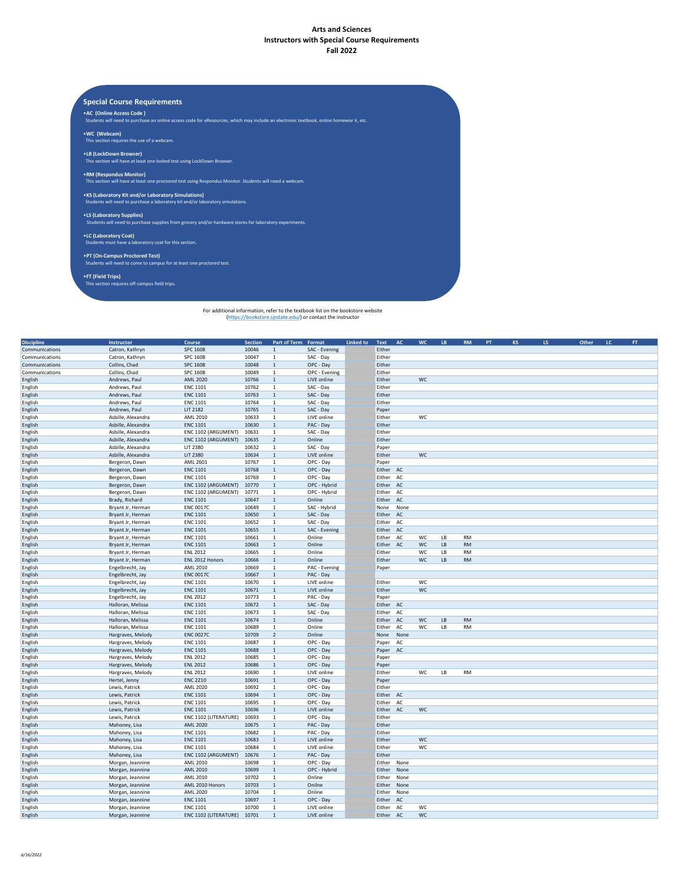## **Arts and Sciences Instructors with Special Course Requirements Fall 2022**

**Special Course Requirements**

•**AC (Online Access Code )** Students will need to purchase an online access code for eResources, which may include an electronic textbook, online homewor k, etc.

•**WC (Webcam)**  This section requires the use of a webcam.

•**LB (LockDown Browser)**  This section will have at least one locked test using LockDown Browser.

•**RM (Respondus Monitor)**  This section will have at least one proctored test using Respondus Monitor. Students will need a webcam.

•**KS (Laboratory Kit and/or Laboratory Simulations)**  Students will need to purchase a laboratory kit and/or laboratory simulations.

•**LS (Laboratory Supplies)** Students will need to purchase supplies from grocery and/or hardware stores for laboratory experiments.

•**LC (Laboratory Coat)**  Students must have a laboratory coat for this section.

•**PT (On-Campus Proctored Test)**  Students will need to come to campus for at least one proctored test.

•**FT (Field Trips)** This section requires off-campus field trips.

For additional information, refer to the textbook list on the bookstore website (https://bookstore.sjrstate.edu/) or contact the instructor

| <b>Discipline</b> | Instructor         | Course                | Section | Part of Term Format |               | <b>Linked to</b> | Text   | AC   | <b>WC</b> | LB | RM        | PT | <b>KS</b> | LS. | Other | $\mathsf{LC}^-$ | FT |
|-------------------|--------------------|-----------------------|---------|---------------------|---------------|------------------|--------|------|-----------|----|-----------|----|-----------|-----|-------|-----------------|----|
| Communications    | Catron, Kathryn    | SPC 1608              | 10046   | $1\,$               | SAC - Evening |                  | Either |      |           |    |           |    |           |     |       |                 |    |
| Communications    | Catron, Kathryn    | SPC 1608              | 10047   | $\mathbf{1}$        | SAC - Day     |                  | Either |      |           |    |           |    |           |     |       |                 |    |
| Communications    | Collins, Chad      | SPC 1608              | 10048   | $\,1\,$             | OPC - Day     |                  | Either |      |           |    |           |    |           |     |       |                 |    |
| Communications    | Collins, Chad      | SPC 1608              | 10049   | $\mathbf{1}$        | OPC - Evening |                  | Either |      |           |    |           |    |           |     |       |                 |    |
| English           | Andrews, Paul      | <b>AML 2020</b>       | 10766   | $\mathbf{1}$        | LIVE online   |                  | Either |      | <b>WC</b> |    |           |    |           |     |       |                 |    |
| English           | Andrews, Paul      | <b>ENC 1101</b>       | 10762   | $\mathbf{1}$        | SAC - Day     |                  | Either |      |           |    |           |    |           |     |       |                 |    |
| English           | Andrews, Paul      | <b>ENC 1101</b>       | 10763   | $1\,$               | SAC - Day     |                  | Either |      |           |    |           |    |           |     |       |                 |    |
| English           | Andrews, Paul      | <b>ENC 1101</b>       | 10764   | $\mathbf{1}$        | SAC - Day     |                  | Either |      |           |    |           |    |           |     |       |                 |    |
| English           | Andrews, Paul      | LIT 2182              | 10765   | $\,1\,$             | SAC - Day     |                  | Paper  |      |           |    |           |    |           |     |       |                 |    |
| English           | Asbille, Alexandra | AML 2010              | 10633   | $\mathbf{1}$        | LIVE online   |                  | Either |      | WC        |    |           |    |           |     |       |                 |    |
| English           | Asbille, Alexandra | <b>ENC 1101</b>       | 10630   | $1\,$               | PAC - Day     |                  | Either |      |           |    |           |    |           |     |       |                 |    |
| English           | Asbille, Alexandra | ENC 1102 (ARGUMENT)   | 10631   | $\mathbf{1}$        | SAC - Day     |                  | Either |      |           |    |           |    |           |     |       |                 |    |
| English           | Asbille, Alexandra | ENC 1102 (ARGUMENT)   | 10635   | $\overline{2}$      | Online        |                  | Either |      |           |    |           |    |           |     |       |                 |    |
| English           | Asbille, Alexandra | <b>LIT 2380</b>       | 10632   | $\mathbf{1}$        | SAC - Day     |                  | Paper  |      |           |    |           |    |           |     |       |                 |    |
| English           | Asbille, Alexandra | LIT 2380              | 10634   | $\mathbf 1$         | LIVE online   |                  | Either |      | WC        |    |           |    |           |     |       |                 |    |
| English           | Bergeron, Dawn     | AML 2601              | 10767   | $\mathbf{1}$        | OPC - Day     |                  | Paper  |      |           |    |           |    |           |     |       |                 |    |
| English           | Bergeron, Dawn     | <b>ENC 1101</b>       | 10768   | $1\,$               | OPC - Day     |                  | Either | AC   |           |    |           |    |           |     |       |                 |    |
| English           | Bergeron, Dawn     | <b>ENC 1101</b>       | 10769   | $\mathbf{1}$        | OPC - Day     |                  | Either | AC   |           |    |           |    |           |     |       |                 |    |
| English           | Bergeron, Dawn     | ENC 1102 (ARGUMENT)   | 10770   | $1\,$               | OPC - Hybrid  |                  | Either | AC   |           |    |           |    |           |     |       |                 |    |
| English           | Bergeron, Dawn     | ENC 1102 (ARGUMENT)   | 10771   | $\mathbf{1}$        | OPC - Hybrid  |                  | Either | AC   |           |    |           |    |           |     |       |                 |    |
| English           | Brady, Richard     | <b>ENC 1101</b>       | 10647   | $\mathbf{1}$        | Online        |                  | Either | AC   |           |    |           |    |           |     |       |                 |    |
| English           | Bryant Jr, Herman  | <b>ENC 0017C</b>      | 10649   | $\mathbf{1}$        | SAC - Hybrid  |                  | None   | None |           |    |           |    |           |     |       |                 |    |
| English           | Bryant Jr, Herman  | <b>ENC 1101</b>       | 10650   | $1\,$               | SAC - Day     |                  | Either | AC   |           |    |           |    |           |     |       |                 |    |
| English           | Bryant Jr, Herman  | <b>ENC 1101</b>       | 10652   | $\mathbf 1$         | SAC - Day     |                  | Either | AC   |           |    |           |    |           |     |       |                 |    |
| English           | Bryant Jr, Herman  | <b>ENC 1101</b>       | 10655   | $1\,$               | SAC - Evening |                  | Either | AC   |           |    |           |    |           |     |       |                 |    |
| English           | Bryant Jr, Herman  | <b>ENC 1101</b>       | 10661   | $\mathbf{1}$        | Online        |                  | Either | AC   | WC        | LB | <b>RM</b> |    |           |     |       |                 |    |
| English           | Bryant Jr, Herman  | <b>ENC 1101</b>       | 10663   | $1\,$               | Online        |                  | Either | AC   | WC        | LB | <b>RM</b> |    |           |     |       |                 |    |
| English           | Bryant Jr, Herman  | <b>ENL 2012</b>       | 10665   | $\mathbf{1}$        | Online        |                  | Either |      | WC        | LB | <b>RM</b> |    |           |     |       |                 |    |
| English           | Bryant Jr, Herman  | ENL 2012 Honors       | 10666   | $1\,$               | Online        |                  | Either |      | WC        | LB | <b>RM</b> |    |           |     |       |                 |    |
| English           | Engelbrecht, Jay   | AML 2010              | 10669   | $\mathbf{1}$        | PAC - Evening |                  | Paper  |      |           |    |           |    |           |     |       |                 |    |
| English           | Engelbrecht, Jay   | <b>ENC 0017C</b>      | 10667   | $\mathbf 1$         | PAC - Day     |                  |        |      |           |    |           |    |           |     |       |                 |    |
| English           | Engelbrecht, Jay   | <b>ENC 1101</b>       | 10670   | $\mathbf{1}$        | LIVE online   |                  | Either |      | WC        |    |           |    |           |     |       |                 |    |
| English           | Engelbrecht, Jay   | <b>ENC 1101</b>       | 10671   | $\mathbf 1$         | LIVE online   |                  | Either |      | WC        |    |           |    |           |     |       |                 |    |
| English           | Engelbrecht, Jay   | <b>ENL 2012</b>       | 10773   | $\mathbf{1}$        | PAC - Day     |                  | Paper  |      |           |    |           |    |           |     |       |                 |    |
| English           | Halloran, Melissa  | <b>ENC 1101</b>       | 10672   | $1\,$               | SAC - Day     |                  | Either | AC   |           |    |           |    |           |     |       |                 |    |
| English           | Halloran, Melissa  | <b>ENC 1101</b>       | 10673   | $\mathbf{1}$        | SAC - Day     |                  | Either | AC   |           |    |           |    |           |     |       |                 |    |
| English           | Halloran, Melissa  | <b>ENC 1101</b>       | 10674   | $\mathbf 1$         | Online        |                  | Either | AC   | WC        | LB | <b>RM</b> |    |           |     |       |                 |    |
| English           | Halloran, Melissa  | <b>ENC 1101</b>       | 10689   | $\mathbf{1}$        | Online        |                  | Either | AC   | <b>WC</b> | LB | <b>RM</b> |    |           |     |       |                 |    |
| English           | Hargraves, Melody  | <b>ENC 0027C</b>      | 10709   | $\overline{2}$      | Online        |                  | None   | None |           |    |           |    |           |     |       |                 |    |
| English           | Hargraves, Melody  | <b>ENC 1101</b>       | 10687   | $\mathbf{1}$        | OPC - Day     |                  | Paper  | AC   |           |    |           |    |           |     |       |                 |    |
| English           | Hargraves, Melody  | <b>ENC 1101</b>       | 10688   | $\mathbf{1}$        | OPC - Day     |                  | Paper  | AC   |           |    |           |    |           |     |       |                 |    |
| English           | Hargraves, Melody  | <b>ENL 2012</b>       | 10685   | $\mathbf{1}$        | OPC - Day     |                  | Paper  |      |           |    |           |    |           |     |       |                 |    |
| English           | Hargraves, Melody  | <b>ENL 2012</b>       | 10686   | $\mathbf{1}$        | OPC - Day     |                  | Paper  |      |           |    |           |    |           |     |       |                 |    |
| English           | Hargraves, Melody  | <b>ENL 2012</b>       | 10690   | $\mathbf{1}$        | LIVE online   |                  | Either |      | WC        | LB | <b>RM</b> |    |           |     |       |                 |    |
| English           | Hertel, Jenny      | <b>ENC 2210</b>       | 10691   | $\mathbf 1$         | OPC - Day     |                  | Paper  |      |           |    |           |    |           |     |       |                 |    |
| English           | Lewis, Patrick     | AML 2020              | 10692   | $\mathbf{1}$        | OPC - Day     |                  | Either |      |           |    |           |    |           |     |       |                 |    |
| English           | Lewis, Patrick     | <b>ENC 1101</b>       | 10694   | $\mathbf{1}$        | OPC - Day     |                  | Either | AC   |           |    |           |    |           |     |       |                 |    |
| English           | Lewis, Patrick     | <b>ENC 1101</b>       | 10695   | $\mathbf{1}$        | OPC - Day     |                  | Either | AC   |           |    |           |    |           |     |       |                 |    |
| English           | Lewis, Patrick     | <b>ENC 1101</b>       | 10696   | $1\,$               | LIVE online   |                  | Either | AC   | WC        |    |           |    |           |     |       |                 |    |
| English           | Lewis, Patrick     | ENC 1102 (LITERATURE) | 10693   | $\mathbf{1}$        | OPC - Day     |                  | Either |      |           |    |           |    |           |     |       |                 |    |
| English           | Mahoney, Lisa      | <b>AML 2020</b>       | 10675   | $\mathbf 1$         | PAC - Day     |                  | Either |      |           |    |           |    |           |     |       |                 |    |
| English           | Mahoney, Lisa      | <b>ENC 1101</b>       | 10682   | $\mathbf{1}$        | PAC - Day     |                  | Either |      |           |    |           |    |           |     |       |                 |    |
| English           | Mahoney, Lisa      | <b>ENC 1101</b>       | 10683   | $1\,$               | LIVE online   |                  | Either |      | <b>WC</b> |    |           |    |           |     |       |                 |    |
| English           | Mahoney, Lisa      | <b>ENC 1101</b>       | 10684   | $\mathbf{1}$        | LIVE online   |                  | Either |      | WC        |    |           |    |           |     |       |                 |    |
| English           | Mahoney, Lisa      | ENC 1102 (ARGUMENT)   | 10676   | $1\,$               | PAC - Day     |                  | Either |      |           |    |           |    |           |     |       |                 |    |
| English           | Morgan, Jeannine   | AML 2010              | 10698   | $\mathbf{1}$        | OPC - Day     |                  | Either | None |           |    |           |    |           |     |       |                 |    |
| English           | Morgan, Jeannine   | AML 2010              | 10699   | $\,1\,$             | OPC - Hybrid  |                  | Either | None |           |    |           |    |           |     |       |                 |    |
| English           | Morgan, Jeannine   | AML 2010              | 10702   | $\mathbf{1}$        | Online        |                  | Either | None |           |    |           |    |           |     |       |                 |    |
| English           | Morgan, Jeannine   | AML 2010 Honors       | 10703   | $1\,$               | Onilne        |                  | Either | None |           |    |           |    |           |     |       |                 |    |
| English           | Morgan, Jeannine   | AML 2020              | 10704   | $\mathbf{1}$        | Online        |                  | Either | None |           |    |           |    |           |     |       |                 |    |
| English           | Morgan, Jeannine   | <b>ENC 1101</b>       | 10697   | $1\,$               | OPC - Day     |                  | Either | AC   |           |    |           |    |           |     |       |                 |    |
| English           | Morgan, Jeannine   | <b>ENC 1101</b>       | 10700   | $\mathbf{1}$        | LIVE online   |                  | Either | AC   | WC        |    |           |    |           |     |       |                 |    |
| English           | Morgan, Jeannine   | ENC 1102 (LITERATURE) | 10701   | $\mathbf{1}$        | LIVE online   |                  | Either | AC   | <b>WC</b> |    |           |    |           |     |       |                 |    |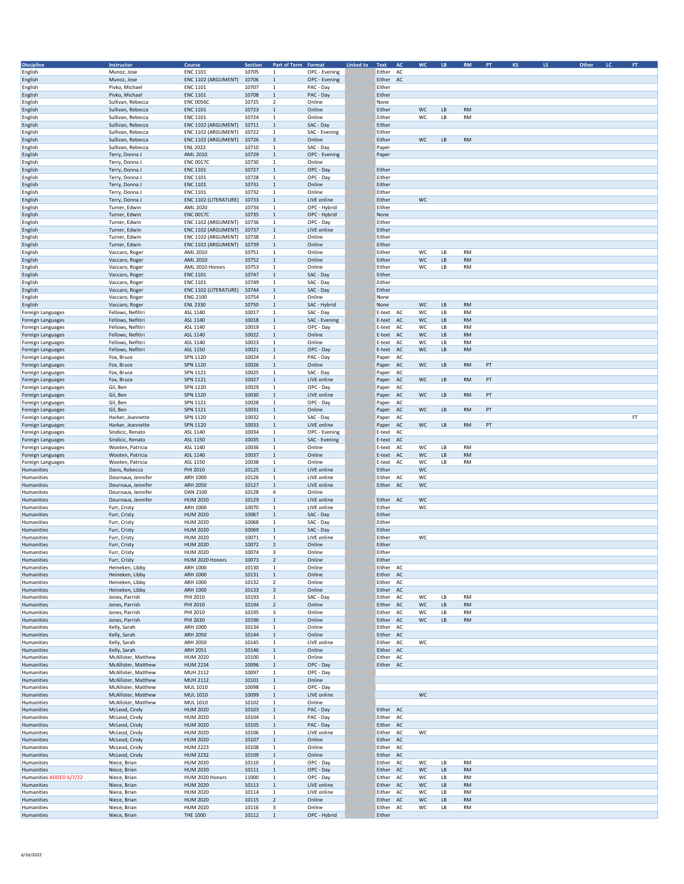| <b>Discipline</b>        | Instructor             | Course                | <b>Section</b>                        | Part of Term Format      |               | Linked to | Text<br>AC   | <b>WC</b> | ${\sf LB}$           | RM        | PT | <b>KS</b> | LS. | Other | LC | FT. |
|--------------------------|------------------------|-----------------------|---------------------------------------|--------------------------|---------------|-----------|--------------|-----------|----------------------|-----------|----|-----------|-----|-------|----|-----|
| English                  | Munoz, Jose            | <b>ENC 1101</b>       | 10705                                 | $\mathbf{1}$             | OPC - Evening |           | Either AC    |           |                      |           |    |           |     |       |    |     |
| English                  | Munoz, Jose            | ENC 1102 (ARGUMENT)   | 10706                                 | $\mathbf 1$              | OPC - Evening |           | Either AC    |           |                      |           |    |           |     |       |    |     |
| English                  | Pivko, Michael         | <b>ENC 1101</b>       | 10707                                 | $\mathbf 1$              | PAC - Day     |           | Either       |           |                      |           |    |           |     |       |    |     |
| English                  | Pivko, Michael         | <b>ENC 1101</b>       | 10708<br>$\mathbf{1}$                 |                          | PAC - Day     |           | Either       |           |                      |           |    |           |     |       |    |     |
| English                  | Sullivan, Rebecca      | <b>ENC 0056C</b>      | 10725                                 | $\overline{2}$           | Online        |           | None         |           |                      |           |    |           |     |       |    |     |
| English                  | Sullivan, Rebecca      | <b>ENC 1101</b>       | 10723<br>$\mathbf{1}$                 |                          | Online        |           | Either       | WC        | LB                   | <b>RM</b> |    |           |     |       |    |     |
| English                  | Sullivan, Rebecca      | <b>ENC 1101</b>       | 10724<br>$\mathbf{1}$                 |                          | Online        |           | Either       | WC        | LB                   | RM        |    |           |     |       |    |     |
| English                  | Sullivan, Rebecca      | ENC 1102 (ARGUMENT)   | 10711<br>$\mathbf{1}$                 |                          | SAC - Day     |           | Either       |           |                      |           |    |           |     |       |    |     |
| English                  | Sullivan, Rebecca      | ENC 1102 (ARGUMENT)   | 10722<br>$\mathbf{1}$                 |                          | SAC - Evening |           | Either       |           |                      |           |    |           |     |       |    |     |
| English                  | Sullivan, Rebecca      | ENC 1102 (ARGUMENT)   | $\overline{\mathbf{3}}$<br>10726      |                          | Online        |           | Either       | wc        | LB                   | <b>RM</b> |    |           |     |       |    |     |
| English                  | Sullivan, Rebecca      | <b>ENL 2022</b>       | 10710                                 | $\mathbf{1}$             | SAC - Day     |           | Paper        |           |                      |           |    |           |     |       |    |     |
| English                  | Terry, Donna J         | AML 2010              | 10729                                 | $\mathbf 1$              | OPC - Evening |           | Paper        |           |                      |           |    |           |     |       |    |     |
| English                  | Terry, Donna J         | <b>ENC 0017C</b>      | 10730<br>$\mathbf{1}$                 |                          | Online        |           |              |           |                      |           |    |           |     |       |    |     |
| English                  | Terry, Donna J         | <b>ENC 1101</b>       | 10727                                 | $\mathbf 1$              | OPC - Day     |           | Either       |           |                      |           |    |           |     |       |    |     |
| English                  | Terry, Donna J         | <b>ENC 1101</b>       | 10728<br>$\mathbf{1}$                 |                          | OPC - Day     |           | Either       |           |                      |           |    |           |     |       |    |     |
| English                  | Terry, Donna J         | <b>ENC 1101</b>       | 10731                                 | $\mathbf 1$              | Online        |           | Either       |           |                      |           |    |           |     |       |    |     |
| English                  | Terry, Donna J         | <b>ENC 1101</b>       | 10732<br>$\mathbf{1}$                 |                          | Online        |           | Either       |           |                      |           |    |           |     |       |    |     |
| English                  | Terry, Donna J         | ENC 1102 (LITERATURE) | 10733                                 | $\mathbf 1$              | LIVE online   |           | Either       | WC        |                      |           |    |           |     |       |    |     |
| English                  | Turner, Edwin          | AML 2020              | 10734                                 | $\mathbf 1$              | OPC - Hybrid  |           | Either       |           |                      |           |    |           |     |       |    |     |
| English                  | Turner, Edwin          | <b>ENC 0017C</b>      | 10735                                 | $\mathbf 1$              | OPC - Hybrid  |           | None         |           |                      |           |    |           |     |       |    |     |
| English                  | Turner, Edwin          | ENC 1102 (ARGUMENT)   | 10736<br>$\mathbf{1}$                 |                          | OPC - Day     |           | Either       |           |                      |           |    |           |     |       |    |     |
| English                  | Turner, Edwin          | ENC 1102 (ARGUMENT)   | 10737<br>$\overline{1}$               |                          | LIVE online   |           | Either       |           |                      |           |    |           |     |       |    |     |
| English                  | Turner, Edwin          | ENC 1102 (ARGUMENT)   | 10738<br>$\mathbf{1}$                 |                          | Online        |           | Either       |           |                      |           |    |           |     |       |    |     |
| English                  | Turner, Edwin          | ENC 1102 (ARGUMENT)   | 10739                                 | $\mathbf{1}$             | Online        |           | Either       |           |                      |           |    |           |     |       |    |     |
| English                  | Vaccaro, Roger         | AML 2010              | 10751<br>$\mathbf{1}$                 |                          | Online        |           | Either       | WC        | $\mathsf{LB}\xspace$ | <b>RM</b> |    |           |     |       |    |     |
| English                  | Vaccaro, Roger         | <b>AML 2010</b>       | 10752<br>$\mathbf{1}$                 |                          | Online        |           | Either       | WC        | LB                   | RM        |    |           |     |       |    |     |
| English                  | Vaccaro, Roger         | AML 2010 Honors       | 10753<br>$\mathbf{1}$                 |                          | Online        |           | Either       | WC        | LB                   | RM        |    |           |     |       |    |     |
| English                  | Vaccaro, Roger         | <b>ENC 1101</b>       | 10747                                 | $\mathbf 1$              | SAC - Day     |           | Either       |           |                      |           |    |           |     |       |    |     |
| English                  | Vaccaro, Roger         | <b>ENC 1101</b>       | 10749<br>$\mathbf{1}$                 |                          | SAC - Day     |           | Either       |           |                      |           |    |           |     |       |    |     |
| English                  | Vaccaro, Roger         | ENC 1102 (LITERATURE) | 10744<br>$\mathbf{1}$                 |                          | SAC - Day     |           | Either       |           |                      |           |    |           |     |       |    |     |
| English                  | Vaccaro, Roger         | <b>ENG 2100</b>       | 10754<br>$\mathbf{1}$                 |                          | Online        |           | None         |           |                      |           |    |           |     |       |    |     |
| English                  | Vaccaro, Roger         | <b>ENL 2330</b>       | 10750<br>$\mathbf{1}$                 |                          | SAC - Hybrid  |           | None         | WC        | LB                   | RM        |    |           |     |       |    |     |
| Foreign Languages        | Fellows, Nefitiri      | ASL 1140              | 10017<br>$\mathbf{1}$                 |                          | SAC - Day     |           | E-text<br>AC | WC        | LB                   | <b>RM</b> |    |           |     |       |    |     |
| <b>Foreign Languages</b> | Fellows, Nefitiri      | ASL 1140              | 10018<br>$\mathbf{1}$                 |                          | SAC - Evening |           | E-text<br>AC | WC        | LB                   | RM        |    |           |     |       |    |     |
| Foreign Languages        | Fellows, Nefitiri      | ASL 1140              | 10019<br>$\mathbf{1}$                 |                          | OPC - Day     |           | AC<br>E-text | WC        | LB                   | <b>RM</b> |    |           |     |       |    |     |
| Foreign Languages        | Fellows, Nefitiri      | ASL 1140              | 10022                                 | $\mathbf 1$              | Online        |           | E-text AC    | WC        | LB                   | RM        |    |           |     |       |    |     |
| <b>Foreign Languages</b> | Fellows, Nefitiri      | ASL 1140              | 10023                                 | $\mathbf{1}$             | Online        |           | E-text AC    | WC        | LB                   | RM        |    |           |     |       |    |     |
| Foreign Languages        | Fellows, Nefitiri      | ASL 1150              | 10021<br>$\mathbf{1}$                 |                          | OPC - Day     |           | E-text<br>AC | WC        | LB                   | RM        |    |           |     |       |    |     |
| Foreign Languages        | Fox, Bruce             | SPN 1120              | 10024                                 | $\mathbf{1}$             | PAC - Day     |           | Paper<br>AC  |           |                      |           |    |           |     |       |    |     |
| Foreign Languages        | Fox, Bruce             | SPN 1120              | 10026<br>$\mathbf{1}$                 |                          | Online        |           | Paper AC     | WC        | LB                   | RM        | PT |           |     |       |    |     |
| Foreign Languages        | Fox, Bruce             | SPN 1121              | 10025                                 | $\mathbf{1}$             | SAC - Day     |           | Paper<br>AC  |           |                      |           |    |           |     |       |    |     |
|                          |                        | SPN 1121              | 10027<br>$\mathbf{1}$                 |                          | LIVE online   |           | AC           | WC        | LB                   | RM        | PT |           |     |       |    |     |
| Foreign Languages        | Fox, Bruce<br>Gil, Ben | SPN 1120              | 10029                                 | $\mathbf{1}$             | OPC - Day     |           | Paper<br>AC  |           |                      |           |    |           |     |       |    |     |
| Foreign Languages        |                        | SPN 1120              | 10030                                 | $\,1\,$                  |               |           | Paper        |           |                      |           |    |           |     |       |    |     |
| Foreign Languages        | Gil, Ben               |                       |                                       | $\mathbf{1}$             | LIVE online   |           | Paper AC     | WC        | LB                   | RM        | PT |           |     |       |    |     |
| Foreign Languages        | Gil, Ben               | SPN 1121              | 10028                                 |                          | OPC - Day     |           | Paper<br>AC  |           |                      |           |    |           |     |       |    |     |
| Foreign Languages        | Gil, Ben               | SPN 1121              | 10031<br>$\mathbf{1}$                 |                          | Online        |           | AC<br>Paper  | WC        | $\mathsf{LB}$        | RM        | PT |           |     |       |    |     |
| Foreign Languages        | Harker, Jeannette      | SPN 1120              | 10032                                 | $\mathbf{1}$             | SAC - Day     |           | Paper<br>AC  |           |                      |           |    |           |     |       |    | FT  |
| <b>Foreign Languages</b> | Harker, Jeannette      | SPN 1120              | 10033<br>$\mathbf{1}$<br>$\mathbf{1}$ |                          | LIVE online   |           | Paper<br>AC  | WC        | LB                   | RM        | PT |           |     |       |    |     |
| <b>Foreign Languages</b> | Sindicic, Renato       | ASL 1140              | 10034<br>10035<br>$\mathbf{1}$        |                          | OPC - Evening |           | E-text<br>AC |           |                      |           |    |           |     |       |    |     |
| Foreign Languages        | Sindicic, Renato       | ASL 1150              | $\mathbf{1}$                          |                          | SAC - Evening |           | E-text<br>AC | WC        |                      | <b>RM</b> |    |           |     |       |    |     |
| Foreign Languages        | Wooten, Patricia       | ASL 1140              | 10036                                 |                          | Online        |           | E-text<br>AC |           | LB                   | <b>RM</b> |    |           |     |       |    |     |
| Foreign Languages        | Wooten, Patricia       | ASL 1140              | 10037<br>$\mathbf{1}$                 |                          | Online        |           | E-text AC    | WC        | $\mathsf{LB}$        |           |    |           |     |       |    |     |
| Foreign Languages        | Wooten, Patricia       | ASL 1150              | 10038                                 | $\mathbf 1$              | Online        |           | E-text<br>AC | WC        | LB                   | RM        |    |           |     |       |    |     |
| Humanities               | Davis, Rebecca         | PHI 2010              | 10125<br>$\mathbf{1}$                 |                          | LIVE online   |           | Either       | WC        |                      |           |    |           |     |       |    |     |
| Humanities               | Dournaux, Jennifer     | ARH 1000              | 10126<br>$\mathbf{1}$                 |                          | LIVE online   |           | Either AC    | WC        |                      |           |    |           |     |       |    |     |
| Humanities               | Dournaux, Jennifer     | <b>ARH 2050</b>       | 10127<br>$\mathbf{1}$                 |                          | LIVE online   |           | Either AC    | WC        |                      |           |    |           |     |       |    |     |
| Humanities               | Dournaux, Jennifer     | DAN 2100              | 10128                                 | 4                        | Online        |           |              |           |                      |           |    |           |     |       |    |     |
| Humanities               | Dournaux, Jennifer     | <b>HUM 2020</b>       | 10129<br>$\overline{1}$               |                          | LIVE online   |           | Either<br>AC | WC        |                      |           |    |           |     |       |    |     |
| Humanities               | Furr, Cristy           | ARH 1000              | 10070<br>$\mathbf{1}$                 |                          | LIVE online   |           | Either       | WC        |                      |           |    |           |     |       |    |     |
| Humanities               | Furr, Cristy           | <b>HUM 2020</b>       | 10067<br>$\mathbf 1$                  |                          | SAC - Day     |           | Either       |           |                      |           |    |           |     |       |    |     |
| Humanities               | Furr, Cristy           | <b>HUM 2020</b>       | 10068                                 | $\mathbf 1$              | SAC - Day     |           | Either       |           |                      |           |    |           |     |       |    |     |
| Humanities               | Furr, Cristy           | <b>HUM 2020</b>       | 10069<br>$\overline{1}$               |                          | SAC - Day     |           | Either       |           |                      |           |    |           |     |       |    |     |
| Humanities               | Furr, Cristy           | <b>HUM 2020</b>       | 10071<br>$\mathbf{1}$                 |                          | LIVE online   |           | Either       | WC        |                      |           |    |           |     |       |    |     |
| Humanities               | Furr, Cristy           | <b>HUM 2020</b>       | 10072                                 | $\overline{2}$           | Online        |           | Either       |           |                      |           |    |           |     |       |    |     |
| Humanities               | Furr, Cristy           | <b>HUM 2020</b>       | 10074<br>$\overline{\mathbf{3}}$      |                          | Online        |           | Either       |           |                      |           |    |           |     |       |    |     |
| Humanities               | Furr, Cristy           | HUM 2020 Honors       | 10073                                 | $\overline{\phantom{a}}$ | Online        |           | Fither       |           |                      |           |    |           |     |       |    |     |
| Humanities               | Heineken, Libby        | ARH 1000              | 10130<br>$\mathbf{1}$                 |                          | Online        |           | Either AC    |           |                      |           |    |           |     |       |    |     |
| Humanities               | Heineken, Libby        | ARH 1000              | 10131                                 | $\mathbf 1$              | Online        |           | Either AC    |           |                      |           |    |           |     |       |    |     |
| Humanities               | Heineken, Libby        | ARH 1000              | 10132                                 | $\overline{2}$           | Online        |           | Either AC    |           |                      |           |    |           |     |       |    |     |
| Humanities               | Heineken, Libby        | ARH 1000              | 10133                                 | $\overline{\mathbf{3}}$  | Online        |           | Either AC    |           |                      |           |    |           |     |       |    |     |
| Humanities               | Jones, Parrish         | PHI 2010              | 10193<br>$\mathbf{1}$                 |                          | SAC - Day     |           | Either AC    | wc        | LB                   | RM        |    |           |     |       |    |     |
| Humanities               | Jones, Parrish         | PHI 2010              | 10194                                 | $\overline{2}$           | Online        |           | Either AC    | WC        | LB                   | <b>RM</b> |    |           |     |       |    |     |
| Humanities               | Jones, Parrish         | PHI 2010              | 10195<br>3                            |                          | Online        |           | Either AC    | wc        | LB                   | RM        |    |           |     |       |    |     |
| Humanities               | Jones, Parrish         | PHI 2630              | 10196                                 | $\mathbf 1$              | Online        |           | Either AC    | WC        | LB                   | RM        |    |           |     |       |    |     |
| Humanities               | Kelly, Sarah           | ARH 1000              | 10134<br>$\mathbf{1}$                 |                          | Online        |           | Either AC    |           |                      |           |    |           |     |       |    |     |
| Humanities               | Kelly, Sarah           | <b>ARH 2050</b>       | 10144<br>$\mathbf{1}$                 |                          | Online        |           | Either AC    |           |                      |           |    |           |     |       |    |     |
| Humanities               | Kelly, Sarah           | <b>ARH 2050</b>       | 10145<br>$\mathbf{1}$                 |                          | LIVE online   |           | Either AC    | WC        |                      |           |    |           |     |       |    |     |
| Humanities               | Kelly, Sarah           | ARH 2051              | 10146                                 | $\mathbf 1$              | Online        |           | Either AC    |           |                      |           |    |           |     |       |    |     |
| Humanities               | McAllister, Matthew    | <b>HUM 2020</b>       | 10100<br>$\mathbf{1}$                 |                          | Online        |           | Either AC    |           |                      |           |    |           |     |       |    |     |
| Humanities               | McAllister, Matthew    | <b>HUM 2234</b>       | 10096<br>$\mathbf{1}$                 |                          | OPC - Day     |           | Either AC    |           |                      |           |    |           |     |       |    |     |
| Humanities               | McAllister, Matthew    | MUH 2112              | 10097<br>$\mathbf{1}$                 |                          | OPC - Day     |           |              |           |                      |           |    |           |     |       |    |     |
| Humanities               | McAllister, Matthew    | MUH 2112              | 10101                                 | $\mathbf{1}$             | Online        |           |              |           |                      |           |    |           |     |       |    |     |
| Humanities               | McAllister, Matthew    | MUL 1010              | 10098<br>$\mathbf{1}$                 |                          | OPC - Day     |           |              |           |                      |           |    |           |     |       |    |     |
| Humanities               | McAllister, Matthew    | MUL 1010              | 10099                                 | $\mathbf 1$              | LIVE online   |           |              | WC        |                      |           |    |           |     |       |    |     |
| Humanities               | McAllister, Matthew    | MUL 1010              | 10102<br>$\mathbf{1}$                 |                          | Online        |           |              |           |                      |           |    |           |     |       |    |     |
| Humanities               | McLeod, Cindy          | <b>HUM 2020</b>       | 10103                                 | $\mathbf 1$              | PAC - Day     |           | Either AC    |           |                      |           |    |           |     |       |    |     |
| Humanities               | McLeod, Cindy          | <b>HUM 2020</b>       | 10104<br>$\mathbf{1}$                 |                          | PAC - Day     |           | Either AC    |           |                      |           |    |           |     |       |    |     |
| Humanities               | McLeod, Cindy          | <b>HUM 2020</b>       | 10105<br>$\mathbf{1}$                 |                          | PAC - Day     |           | Either AC    |           |                      |           |    |           |     |       |    |     |
| Humanities               | McLeod, Cindy          | <b>HUM 2020</b>       | 10106<br>$\mathbf{1}$                 |                          | LIVE online   |           | Either AC    | WC        |                      |           |    |           |     |       |    |     |
| Humanities               | McLeod, Cindy          | <b>HUM 2020</b>       | 10107                                 | $\mathbf{1}$             | Online        |           | Either AC    |           |                      |           |    |           |     |       |    |     |
| Humanities               | McLeod, Cindy          | <b>HUM 2223</b>       | 10108<br>$\mathbf{1}$                 |                          | Online        |           | Either AC    |           |                      |           |    |           |     |       |    |     |
| Humanities               | McLeod, Cindy          | <b>HUM 2232</b>       | 10109                                 | $\mathbf{1}$             | Online        |           | Either AC    |           |                      |           |    |           |     |       |    |     |
| Humanities               | Niece, Brian           | <b>HUM 2020</b>       | 10110                                 | $\mathbf 1$              | OPC - Day     |           | Either AC    | WC        | LB                   | <b>RM</b> |    |           |     |       |    |     |
| Humanities               | Niece, Brian           | <b>HUM 2020</b>       | 10111                                 | $\mathbf 1$              | OPC - Day     |           | Either AC    | WC        | LB                   | RM        |    |           |     |       |    |     |
| Humanities ADDED 6/7/22  | Niece, Brian           | HUM 2020 Honors       | 11000                                 | $\mathbf 1$              | OPC - Day     |           | Either AC    | WC        | LB                   | RM        |    |           |     |       |    |     |
| Humanities               | Niece, Brian           | <b>HUM 2020</b>       | 10113<br>$\mathbf{1}$                 |                          | LIVE online   |           | Either AC    | wc        | LB                   | <b>RM</b> |    |           |     |       |    |     |
| Humanities               | Niece, Brian           | <b>HUM 2020</b>       | 10114                                 | $\mathbf 1$              | LIVE online   |           | Either AC    | WC        | LB                   | <b>RM</b> |    |           |     |       |    |     |
| Humanities               | Niece, Brian           | <b>HUM 2020</b>       | 10115                                 | $\overline{2}$           | Online        |           | Either AC    | WC        | LB                   | <b>RM</b> |    |           |     |       |    |     |
| Humanities               | Niece, Brian           | <b>HUM 2020</b>       | 10116<br>$\overline{\mathbf{3}}$      |                          | Online        |           | Either<br>AC | WC        | LB                   | RM        |    |           |     |       |    |     |
| Humanities               | Niece, Brian           | THE 1000              | 10112<br>$\mathbf{1}$                 |                          | OPC - Hybrid  |           | Either       |           |                      |           |    |           |     |       |    |     |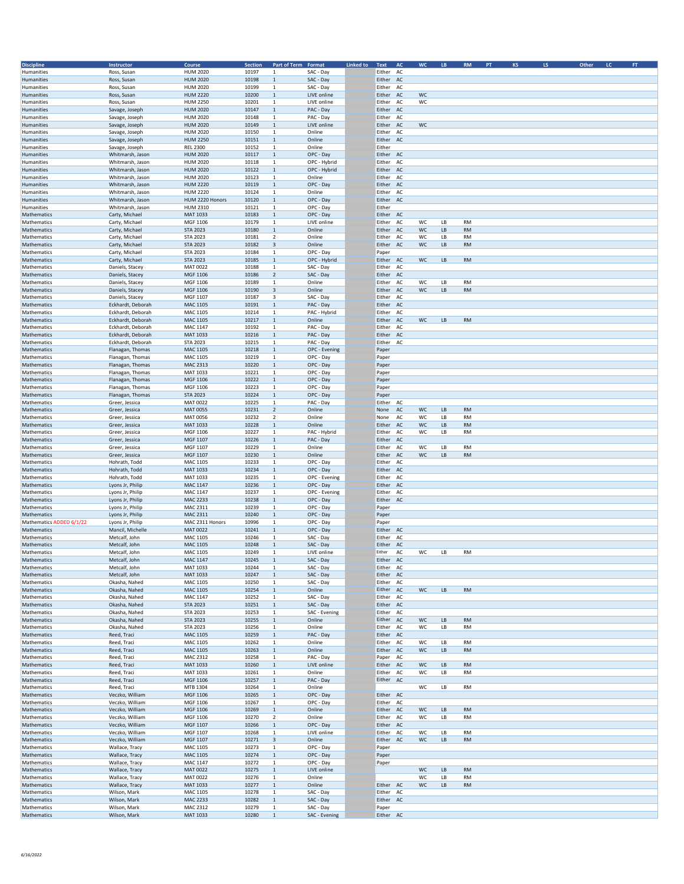| <b>Discipline</b>          | Instructor        | Course          | Section        | Part of Term Format              |               | <b>Linked to</b> | Text<br><b>AC</b> | <b>WC</b> | $\mathsf{L}\mathsf{B}$ | <b>RM</b> | PT | KS | LS. | Other | LC | $\mathsf{FT}$ |
|----------------------------|-------------------|-----------------|----------------|----------------------------------|---------------|------------------|-------------------|-----------|------------------------|-----------|----|----|-----|-------|----|---------------|
| Humanities                 | Ross, Susan       | <b>HUM 2020</b> | 10197          | $\mathbf{1}$                     | SAC - Day     |                  | Either<br>AC      |           |                        |           |    |    |     |       |    |               |
| Humanities                 | Ross, Susan       | <b>HUM 2020</b> | 10198          | $\mathbf 1$                      | SAC - Day     |                  | Either AC         |           |                        |           |    |    |     |       |    |               |
| Humanities                 | Ross, Susan       | <b>HUM 2020</b> | 10199          | $\mathbf{1}$                     | SAC - Day     |                  | Either<br>AC      |           |                        |           |    |    |     |       |    |               |
| Humanities                 | Ross, Susan       | <b>HUM 2220</b> | 10200          | $\mathbf{1}$                     | LIVE online   |                  | Either AC         | WC        |                        |           |    |    |     |       |    |               |
| Humanities                 | Ross, Susan       | <b>HUM 2250</b> | 10201          | $\mathbf{1}$                     | LIVE online   |                  | Either<br>AC      | WC        |                        |           |    |    |     |       |    |               |
| Humanities                 | Savage, Joseph    | <b>HUM 2020</b> | 10147          | $\mathbf{1}$                     | PAC - Day     |                  | Either AC         |           |                        |           |    |    |     |       |    |               |
| Humanities                 | Savage, Joseph    | <b>HUM 2020</b> | 10148          | $\mathbf{1}$                     | PAC - Day     |                  | Either<br>AC      |           |                        |           |    |    |     |       |    |               |
| Humanities                 | Savage, Joseph    | <b>HUM 2020</b> | 10149          | $\mathbf{1}$                     | LIVE online   |                  | Either<br>AC      | WC        |                        |           |    |    |     |       |    |               |
| Humanities                 | Savage, Joseph    | <b>HUM 2020</b> | 10150          | $\mathbf{1}$                     | Online        |                  | Either<br>AC      |           |                        |           |    |    |     |       |    |               |
| Humanities                 | Savage, Joseph    | <b>HUM 2250</b> | 10151          | $\mathbf{1}$                     | Online        |                  | Either<br>AC      |           |                        |           |    |    |     |       |    |               |
| Humanities                 | Savage, Joseph    | <b>REL 2300</b> | 10152          | $\mathbf{1}$                     | Online        |                  | Either            |           |                        |           |    |    |     |       |    |               |
| Humanities                 | Whitmarsh, Jason  | <b>HUM 2020</b> | 10117          | $\overline{1}$                   | OPC - Day     |                  | Either AC         |           |                        |           |    |    |     |       |    |               |
| Humanities                 | Whitmarsh, Jason  | <b>HUM 2020</b> | 10118          | $\mathbf{1}$                     | OPC - Hybrid  |                  | Either<br>AC      |           |                        |           |    |    |     |       |    |               |
| Humanities                 | Whitmarsh, Jason  | <b>HUM 2020</b> | 10122          | $\overline{1}$                   | OPC - Hybrid  |                  | Either<br>AC      |           |                        |           |    |    |     |       |    |               |
| Humanities                 | Whitmarsh, Jason  | <b>HUM 2020</b> | 10123          | $\mathbf{1}$                     | Online        |                  | Either<br>AC      |           |                        |           |    |    |     |       |    |               |
| Humanities                 | Whitmarsh, Jason  | <b>HUM 2220</b> | 10119          | $\mathbf{1}$                     | OPC - Day     |                  | Either<br>AC      |           |                        |           |    |    |     |       |    |               |
| Humanities                 | Whitmarsh, Jason  | <b>HUM 2220</b> | 10124          | $\mathbf{1}$                     | Online        |                  | AC<br>Either      |           |                        |           |    |    |     |       |    |               |
| Humanities                 | Whitmarsh, Jason  | HUM 2220 Honors | 10120          | $\mathbf{1}$                     | OPC - Day     |                  | Either<br>AC      |           |                        |           |    |    |     |       |    |               |
| Humanities                 | Whitmarsh, Jason  | <b>HUM 2310</b> | 10121          | $\mathbf{1}$                     | OPC - Day     |                  | Either            |           |                        |           |    |    |     |       |    |               |
| Mathematics                | Carty, Michael    | MAT 1033        | 10183          | $\overline{1}$                   | OPC - Day     |                  | Either AC         |           |                        |           |    |    |     |       |    |               |
| Mathematics                | Carty, Michael    | MGF 1106        | 10179          | $\mathbf{1}$                     | LIVE online   |                  | AC<br>Either      | WC        | LB                     | <b>RM</b> |    |    |     |       |    |               |
| Mathematics                | Carty, Michael    | <b>STA 2023</b> | 10180          | $\overline{1}$                   | Online        |                  | Either<br>AC      | WC        | LB                     | <b>RM</b> |    |    |     |       |    |               |
| Mathematics                | Carty, Michael    | <b>STA 2023</b> | 10181          | $\overline{2}$                   | Online        |                  | Either<br>AC      | wc        | LB                     | RM        |    |    |     |       |    |               |
| Mathematics                | Carty, Michael    | <b>STA 2023</b> | 10182          | $\overline{3}$                   | Online        |                  | Either<br>AC      | WC        | LB                     | <b>RM</b> |    |    |     |       |    |               |
| Mathematics                | Carty, Michael    | STA 2023        | 10184          | $\mathbf{1}$                     | OPC - Day     |                  | Paper             |           |                        |           |    |    |     |       |    |               |
| Mathematics                | Carty, Michael    | <b>STA 2023</b> | 10185          | $\mathbf{1}$                     | OPC - Hybrid  |                  | Either<br>AC      | WC        | LB                     | <b>RM</b> |    |    |     |       |    |               |
| Mathematics                | Daniels, Stacey   | MAT 0022        | 10188          | $\mathbf{1}$                     | SAC - Day     |                  | Either<br>AC      |           |                        |           |    |    |     |       |    |               |
| Mathematics                | Daniels, Stacey   | MGF 1106        | 10186          | $\overline{2}$                   | SAC - Day     |                  | Either AC         |           |                        |           |    |    |     |       |    |               |
| Mathematics                | Daniels, Stacey   | MGF 1106        | 10189          | $\mathbf{1}$                     | Online        |                  | Either<br>AC      | WC        | LВ                     | <b>RM</b> |    |    |     |       |    |               |
| Mathematics                | Daniels, Stacey   | MGF 1106        | 10190          | 3                                | Online        |                  | Either<br>AC      | WC        | LB                     | <b>RM</b> |    |    |     |       |    |               |
| Mathematics                | Daniels, Stacey   | MGF 1107        | 10187          | 3                                | SAC - Day     |                  | Either<br>AC      |           |                        |           |    |    |     |       |    |               |
| Mathematics                | Eckhardt, Deborah | <b>MAC 1105</b> | 10191          | $\mathbf{1}$                     | PAC - Day     |                  | Either<br>AC      |           |                        |           |    |    |     |       |    |               |
| Mathematics                | Eckhardt, Deborah | MAC 1105        | 10214          | $\mathbf{1}$                     | PAC - Hybrid  |                  | Either<br>AC      |           |                        |           |    |    |     |       |    |               |
| Mathematics                | Eckhardt, Deborah | MAC 1105        | 10217          | $\mathbf{1}$                     | Online        |                  | Either<br>AC      | WC        | LB                     | <b>RM</b> |    |    |     |       |    |               |
| Mathematics                | Eckhardt, Deborah | MAC 1147        | 10192          | $\mathbf{1}$                     | PAC - Day     |                  | Either<br>AC      |           |                        |           |    |    |     |       |    |               |
| Mathematics                | Eckhardt, Deborah | MAT 1033        | 10216          | $\overline{1}$                   | PAC - Day     |                  | Either<br>AC      |           |                        |           |    |    |     |       |    |               |
| Mathematics                | Eckhardt, Deborah | <b>STA 2023</b> | 10215          | $\mathbf{1}$                     | PAC - Day     |                  | Either<br>AC      |           |                        |           |    |    |     |       |    |               |
| Mathematics                | Flanagan, Thomas  | MAC 1105        | 10218          | $\mathbf{1}$                     | OPC - Evening |                  | Paper             |           |                        |           |    |    |     |       |    |               |
| Mathematics                | Flanagan, Thomas  | MAC 1105        | 10219          | $\mathbf{1}$                     | OPC - Day     |                  | Paper             |           |                        |           |    |    |     |       |    |               |
|                            |                   | <b>MAC 2313</b> | 10220          | $\mathbf{1}$                     |               |                  |                   |           |                        |           |    |    |     |       |    |               |
| Mathematics<br>Mathematics | Flanagan, Thomas  | MAT 1033        | 10221          | $\mathbf{1}$                     | OPC - Day     |                  | Paper             |           |                        |           |    |    |     |       |    |               |
|                            | Flanagan, Thomas  |                 |                | $\mathbf{1}$                     | OPC - Day     |                  | Paper             |           |                        |           |    |    |     |       |    |               |
| Mathematics                | Flanagan, Thomas  | MGF 1106        | 10222<br>10223 | $\mathbf{1}$                     | OPC - Day     |                  | Paper             |           |                        |           |    |    |     |       |    |               |
| Mathematics                | Flanagan, Thomas  | MGF 1106        |                | $\mathbf{1}$                     | OPC - Day     |                  | Paper             |           |                        |           |    |    |     |       |    |               |
| Mathematics                | Flanagan, Thomas  | <b>STA 2023</b> | 10224          | $\mathbf{1}$                     | OPC - Day     |                  | Paper             |           |                        |           |    |    |     |       |    |               |
| Mathematics                | Greer, Jessica    | MAT 0022        | 10225          |                                  | PAC - Day     |                  | Either<br>AC      |           |                        |           |    |    |     |       |    |               |
| Mathematics                | Greer, Jessica    | <b>MAT 0055</b> | 10231          | $\overline{2}$<br>$\overline{2}$ | Online        |                  | AC<br>None        | WC        | $\mathsf{L}\mathsf{B}$ | <b>RM</b> |    |    |     |       |    |               |
| Mathematics                | Greer, Jessica    | MAT 0056        | 10232          |                                  | Online        |                  | None<br>AC        | WC        | LB                     | <b>RM</b> |    |    |     |       |    |               |
| Mathematics                | Greer, Jessica    | MAT 1033        | 10228          | $\mathbf{1}$                     | Online        |                  | Either AC         | WC        | LB                     | <b>RM</b> |    |    |     |       |    |               |
| Mathematics                | Greer, Jessica    | MGF 1106        | 10227<br>10226 | $\mathbf{1}$                     | PAC - Hybrid  |                  | Either<br>AC      | WC        | LB                     | <b>RM</b> |    |    |     |       |    |               |
| Mathematics                | Greer, Jessica    | MGF 1107        |                | $\mathbf{1}$                     | PAC - Day     |                  | Either<br>AC      |           |                        |           |    |    |     |       |    |               |
| Mathematics                | Greer, Jessica    | MGF 1107        | 10229          | $\mathbf{1}$                     | Online        |                  | Either<br>AC      | WC        | LB                     | <b>RM</b> |    |    |     |       |    |               |
| Mathematics                | Greer, Jessica    | MGF 1107        | 10230          | $\mathbf{1}$                     | Online        |                  | Either<br>AC      | WC        | LВ                     | <b>RM</b> |    |    |     |       |    |               |
| Mathematics                | Hohrath, Todd     | MAC 1105        | 10233          | $\mathbf{1}$                     | OPC - Day     |                  | Either<br>AC      |           |                        |           |    |    |     |       |    |               |
| Mathematics                | Hohrath, Todd     | MAT 1033        | 10234          | $\mathbf{1}$                     | OPC - Day     |                  | Either AC         |           |                        |           |    |    |     |       |    |               |
| Mathematics                | Hohrath, Todd     | MAT 1033        | 10235          | $\mathbf{1}$                     | OPC - Evening |                  | Either<br>AC      |           |                        |           |    |    |     |       |    |               |
| Mathematics                | Lyons Jr, Philip  | MAC 1147        | 10236          | $\mathbf{1}$                     | OPC - Day     |                  | Either<br>AC      |           |                        |           |    |    |     |       |    |               |
| Mathematics                | Lyons Jr, Philip  | MAC 1147        | 10237          | $\mathbf{1}$                     | OPC - Evening |                  | Either<br>AC      |           |                        |           |    |    |     |       |    |               |
| Mathematics                | Lyons Jr, Philip  | <b>MAC 2233</b> | 10238          | $\mathbf{1}$                     | OPC - Day     |                  | Either<br>AC      |           |                        |           |    |    |     |       |    |               |
| Mathematics                | Lyons Jr, Philip  | MAC 2311        | 10239          | $\mathbf{1}$                     | OPC - Day     |                  | Paper             |           |                        |           |    |    |     |       |    |               |
| Mathematics                | Lyons Jr, Philip  | MAC 2311        | 10240          | $\mathbf{1}$                     | OPC - Day     |                  | Paper             |           |                        |           |    |    |     |       |    |               |
| Mathematics ADDED 6/1/22   | Lyons Jr, Philip  | MAC 2311 Honors | 10996          | $\mathbf{1}$                     | OPC - Day     |                  | Paper             |           |                        |           |    |    |     |       |    |               |
| Mathematics                | Mancil, Michelle  | MAT 0022        | 10241          | $\overline{1}$                   | OPC - Day     |                  | Either<br>AC      |           |                        |           |    |    |     |       |    |               |
| Mathematics                | Metcalf, John     | MAC 1105        | 10246          | $\mathbf{1}$                     | SAC - Day     |                  | Either<br>AC      |           |                        |           |    |    |     |       |    |               |
| Mathematics                | Metcalf, John     | MAC 1105        | 10248          | $\overline{1}$                   | SAC - Day     |                  | Either<br>AC      |           |                        |           |    |    |     |       |    |               |
| Mathematics                | Metcalf, John     | MAC 1105        | 10249          | $\mathbf{1}$                     | LIVE online   |                  | Either<br>AC      | WC        | LB                     | <b>RM</b> |    |    |     |       |    |               |
| Mathematics                | Metcalf, John     | <b>MAC 1147</b> | 10245          |                                  | SAC - Day     |                  | Fither<br>AC      |           |                        |           |    |    |     |       |    |               |
| Mathematics                | Metcalf, John     | MAT 1033        | 10244          | $\mathbf{1}$                     | SAC - Day     |                  | Either AC         |           |                        |           |    |    |     |       |    |               |
| Mathematics                | Metcalf, John     | MAT 1033        | 10247          | $\,$ 1                           | SAC - Day     |                  | Either AC         |           |                        |           |    |    |     |       |    |               |
| Mathematics                | Okasha, Nahed     | MAC 1105        | 10250          | $\mathbf{1}$                     | SAC - Day     |                  | Either AC         |           |                        |           |    |    |     |       |    |               |
| Mathematics                | Okasha, Nahed     | MAC 1105        | 10254          | $\mathbf 1$                      | Online        |                  | Either AC         | WC        | LB                     | <b>RM</b> |    |    |     |       |    |               |
| Mathematics                | Okasha, Nahed     | MAC 1147        | 10252          | $\mathbf{1}$                     | SAC - Day     |                  | Either AC         |           |                        |           |    |    |     |       |    |               |
| Mathematics                | Okasha, Nahed     | <b>STA 2023</b> | 10251          | $\bullet$                        | SAC - Day     |                  | Either AC         |           |                        |           |    |    |     |       |    |               |
| Mathematics                | Okasha, Nahed     | <b>STA 2023</b> | 10253          | $\mathbf{1}$                     | SAC - Evening |                  | Either AC         |           |                        |           |    |    |     |       |    |               |
| Mathematics                | Okasha, Nahed     | <b>STA 2023</b> | 10255          | $\mathbf 1$                      | Online        |                  | Either AC         | WC        | LB                     | <b>RM</b> |    |    |     |       |    |               |
| Mathematics                | Okasha, Nahed     | <b>STA 2023</b> | 10256          | $\mathbf{1}$                     | Online        |                  | Either<br>AC      | WC        | LB                     | RM        |    |    |     |       |    |               |
| Mathematics                | Reed, Traci       | <b>MAC 1105</b> | 10259          | $\mathbf{1}$                     | PAC - Day     |                  | Either AC         |           |                        |           |    |    |     |       |    |               |
| Mathematics                | Reed, Traci       | MAC 1105        | 10262          | $\mathbf{1}$                     | Online        |                  | Either AC         | wc        | LВ                     | <b>RM</b> |    |    |     |       |    |               |
| Mathematics                | Reed, Traci       | MAC 1105        | 10263          | $\mathbf{1}$                     | Online        |                  | Either AC         | WC        | LB                     | <b>RM</b> |    |    |     |       |    |               |
| Mathematics                | Reed, Traci       | MAC 2312        | 10258          | $\mathbf{1}$                     | PAC - Day     |                  | Paper<br>AC       |           |                        |           |    |    |     |       |    |               |
| Mathematics                | Reed, Traci       | MAT 1033        | 10260          | $\mathbf{1}$                     | LIVE online   |                  | Either AC         | WC        | LB                     | <b>RM</b> |    |    |     |       |    |               |
| Mathematics                | Reed, Traci       | MAT 1033        | 10261          | $\mathbf{1}$                     | Online        |                  | Either AC         | WC        | LВ                     | <b>RM</b> |    |    |     |       |    |               |
| Mathematics                | Reed, Traci       | MGF 1106        | 10257          | $\mathbf{1}$                     | PAC - Day     |                  | Either AC         |           |                        |           |    |    |     |       |    |               |
| Mathematics                | Reed, Traci       | MTB 1304        | 10264          | $\mathbf{1}$                     | Online        |                  |                   | WC        | LВ                     | <b>RM</b> |    |    |     |       |    |               |
| Mathematics                | Veczko, William   | MGF 1106        | 10265          | $\mathbf{1}$                     | OPC - Day     |                  | Either AC         |           |                        |           |    |    |     |       |    |               |
| Mathematics                | Veczko, William   | MGF 1106        | 10267          | $\mathbf{1}$                     | OPC - Day     |                  | Either AC         |           |                        |           |    |    |     |       |    |               |
| Mathematics                | Veczko, William   | MGF 1106        | 10269          | $\mathbf{1}$                     | Online        |                  | Either AC         | WC        | LB                     | <b>RM</b> |    |    |     |       |    |               |
| Mathematics                | Veczko, William   | MGF 1106        | 10270          | $\overline{2}$                   | Online        |                  | Either AC         | wc        | LВ                     | <b>RM</b> |    |    |     |       |    |               |
| Mathematics                | Veczko, William   | MGF 1107        | 10266          | $\mathbf{1}$                     | OPC - Day     |                  | Either AC         |           |                        |           |    |    |     |       |    |               |
| Mathematics                | Veczko, William   | MGF 1107        | 10268          | $\mathbf{1}$                     | LIVE online   |                  | Either AC         | WC        | LB                     | <b>RM</b> |    |    |     |       |    |               |
| Mathematics                | Veczko, William   | MGF 1107        | 10271          | 3                                | Online        |                  | Either AC         | WC        | LB                     | <b>RM</b> |    |    |     |       |    |               |
| Mathematics                | Wallace, Tracy    | MAC 1105        | 10273          | $\mathbf{1}$                     | OPC - Day     |                  | Paper             |           |                        |           |    |    |     |       |    |               |
| Mathematics                | Wallace, Tracy    | MAC 1105        | 10274          | $\mathbf{1}$                     | OPC - Day     |                  | Paper             |           |                        |           |    |    |     |       |    |               |
| Mathematics                | Wallace, Tracy    | MAC 1147        | 10272          | $\mathbf{1}$                     | OPC - Day     |                  | Paper             |           |                        |           |    |    |     |       |    |               |
| Mathematics                | Wallace, Tracy    | MAT 0022        | 10275          | $\mathbf{1}$                     | LIVE online   |                  |                   | WC        | LB                     | <b>RM</b> |    |    |     |       |    |               |
| Mathematics                | Wallace, Tracy    | MAT 0022        | 10276          | $\mathbf{1}$                     | Online        |                  |                   | WC        | LB                     | <b>RM</b> |    |    |     |       |    |               |
| Mathematics                | Wallace, Tracy    | MAT 1033        | 10277          | $\mathbf{1}$                     | Online        |                  | Either AC         | WC        | LB                     | <b>RM</b> |    |    |     |       |    |               |
| Mathematics                | Wilson, Mark      | MAC 1105        | 10278          | $\mathbf{1}$                     | SAC - Day     |                  | Either AC         |           |                        |           |    |    |     |       |    |               |
| Mathematics                | Wilson, Mark      | MAC 2233        | 10282          | $\mathbf{1}$                     | SAC - Day     |                  | Either AC         |           |                        |           |    |    |     |       |    |               |
| Mathematics                | Wilson, Mark      | MAC 2312        | 10279          | $\mathbf{1}$                     | SAC - Day     |                  | Paper             |           |                        |           |    |    |     |       |    |               |
| Mathematics                | Wilson, Mark      | MAT 1033        | 10280          | $\mathbf{1}$                     | SAC - Evening |                  | Either AC         |           |                        |           |    |    |     |       |    |               |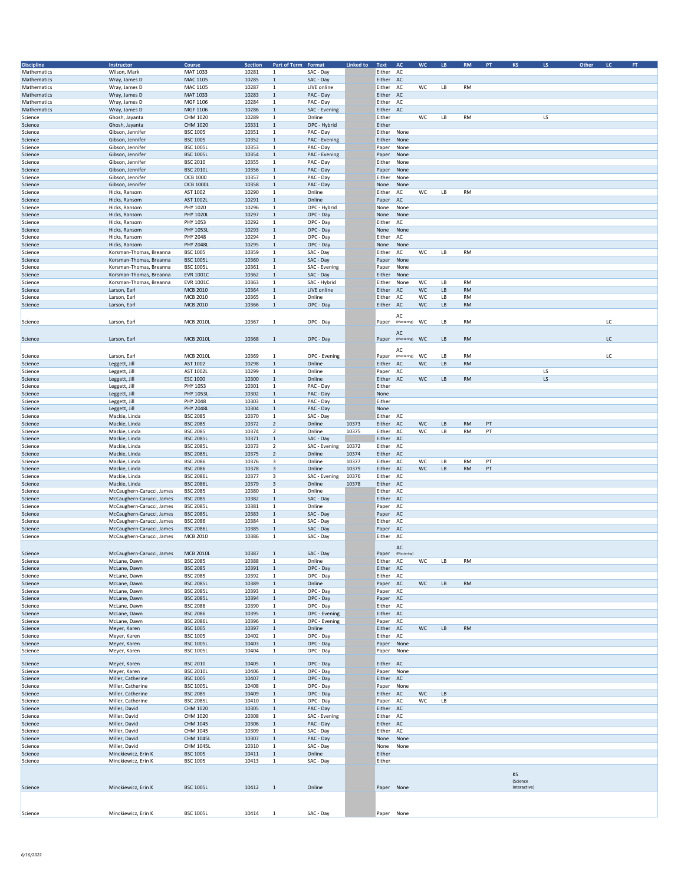| <b>Discipline</b>  | Instructor                              | Course                              | <b>Section</b> | Part of Term Format         |                             | <b>Linked to</b> | Text AC                |                   | <b>WC</b> | LB | <b>RM</b> | PT | KS           | LS. | Other<br>LC. |    | FT. |
|--------------------|-----------------------------------------|-------------------------------------|----------------|-----------------------------|-----------------------------|------------------|------------------------|-------------------|-----------|----|-----------|----|--------------|-----|--------------|----|-----|
| Mathematics        | Wilson, Mark                            | MAT 1033                            | 10281          | $\mathbf{1}$                | SAC - Day                   |                  | Either AC              |                   |           |    |           |    |              |     |              |    |     |
| Mathematics        | Wray, James D                           | <b>MAC 1105</b>                     | 10285          | $\mathbf 1$                 | SAC - Day                   |                  | Either AC              |                   |           |    |           |    |              |     |              |    |     |
| Mathematics        | Wray, James D                           | MAC 1105                            | 10287          | $\mathbf 1$                 | LIVE online                 |                  | Either                 | AC                | WC        | LB | <b>RM</b> |    |              |     |              |    |     |
| Mathematics        | Wray, James D                           | MAT 1033                            | 10283          | $\mathbf 1$                 | PAC - Day                   |                  | Either AC              |                   |           |    |           |    |              |     |              |    |     |
| Mathematics        | Wray, James D                           | MGF 1106                            | 10284          | 1                           | PAC - Day                   |                  | Either                 | AC                |           |    |           |    |              |     |              |    |     |
| Mathematics        | Wray, James D                           | MGF 1106                            | 10286          | $\mathbf 1$                 | SAC - Evening               |                  | Either                 | AC                |           |    |           |    |              |     |              |    |     |
| Science            | Ghosh, Jayanta                          | CHM 1020                            | 10289          | $\mathbf 1$                 | Online                      |                  | Either                 |                   | WC        | LB | <b>RM</b> |    |              | LS  |              |    |     |
| Science            | Ghosh, Jayanta                          | CHM 1020                            | 10331          | $\mathbf 1$                 | OPC - Hybrid                |                  | Either                 |                   |           |    |           |    |              |     |              |    |     |
| Science            | Gibson, Jennifer                        | <b>BSC 1005</b>                     | 10351          | $\mathbf{1}$                | PAC - Day                   |                  | Either                 | None              |           |    |           |    |              |     |              |    |     |
| Science            | Gibson, Jennifer                        | <b>BSC 1005</b>                     | 10352          | $\mathbf{1}$                | PAC - Evening               |                  | Either                 | None              |           |    |           |    |              |     |              |    |     |
| Science            | Gibson, Jennifer                        | <b>BSC 1005L</b>                    | 10353          | $\mathbf 1$                 | PAC - Day                   |                  | Paper                  | None              |           |    |           |    |              |     |              |    |     |
| Science            | Gibson, Jennifer                        | <b>BSC 1005L</b>                    | 10354          | $\mathbf 1$                 | PAC - Evening               |                  | Paper                  | None              |           |    |           |    |              |     |              |    |     |
| Science            | Gibson, Jennifer                        | <b>BSC 2010</b>                     | 10355          | $\mathbf{1}$                | PAC - Day                   |                  | Either                 | None              |           |    |           |    |              |     |              |    |     |
| Science            | Gibson, Jennifer                        | <b>BSC 2010L</b>                    | 10356          | $\mathbf{1}$                | PAC - Day                   |                  | Paper                  | None              |           |    |           |    |              |     |              |    |     |
| Science            | Gibson, Jennifer                        | <b>OCB 1000</b>                     | 10357          | $\mathbf 1$                 | PAC - Day                   |                  | Either                 | None              |           |    |           |    |              |     |              |    |     |
| Science            | Gibson, Jennifer                        | <b>OCB 1000L</b>                    | 10358          | $\mathbf{1}$                | PAC - Day                   |                  | None                   | None              |           |    |           |    |              |     |              |    |     |
| Science            | Hicks, Ransom                           | AST 1002                            | 10290          | $\mathbf 1$                 | Online                      |                  | Either                 | AC                | WC        | LB | <b>RM</b> |    |              |     |              |    |     |
| Science            | Hicks, Ransom                           | AST 1002L                           | 10291          | $\mathbf 1$                 | Online                      |                  | Paper                  | AC                |           |    |           |    |              |     |              |    |     |
| Science            | Hicks, Ransom                           | PHY 1020                            | 10296          | $\mathbf 1$                 | OPC - Hybrid                |                  | None                   | None              |           |    |           |    |              |     |              |    |     |
| Science            | Hicks, Ransom                           | <b>PHY 1020L</b>                    | 10297          | $\mathbf 1$                 | OPC - Day                   |                  | None                   | None              |           |    |           |    |              |     |              |    |     |
| Science            | Hicks, Ransom                           | PHY 1053                            | 10292          | $\mathbf 1$                 | OPC - Day                   |                  | Either                 | AC                |           |    |           |    |              |     |              |    |     |
| Science            | Hicks, Ransom                           | PHY 1053L                           | 10293          | $\mathbf{1}$                | OPC - Day                   |                  | None                   | None              |           |    |           |    |              |     |              |    |     |
| Science            | Hicks, Ransom                           | PHY 2048                            | 10294          | 1                           | OPC - Day                   |                  | Either                 | AC                |           |    |           |    |              |     |              |    |     |
| Science            | Hicks, Ransom                           | <b>PHY 2048L</b>                    | 10295          | $\mathbf{1}$                | OPC - Day                   |                  | None                   | None              |           |    |           |    |              |     |              |    |     |
| Science            | Korsman-Thomas, Breanna                 | <b>BSC 1005</b>                     | 10359          | $\mathbf 1$                 | SAC - Day                   |                  | Either                 | AC                | WC        | LB | <b>RM</b> |    |              |     |              |    |     |
| Science            | Korsman-Thomas, Breanna                 | <b>BSC 1005L</b>                    | 10360          | $\mathbf 1$                 | SAC - Day                   |                  | Paper None             |                   |           |    |           |    |              |     |              |    |     |
| Science            | Korsman-Thomas, Breanna                 | <b>BSC 1005L</b>                    | 10361          | $\mathbf 1$                 | SAC - Evening               |                  | Paper                  | None              |           |    |           |    |              |     |              |    |     |
| Science            | Korsman-Thomas, Breanna                 | <b>EVR 1001C</b>                    | 10362          | $\mathbf 1$<br>$\mathbf{1}$ | SAC - Day                   |                  | Either                 | None              | WC        | LB | <b>RM</b> |    |              |     |              |    |     |
| Science            | Korsman-Thomas, Breanna<br>Larson, Earl | <b>EVR 1001C</b><br><b>MCB 2010</b> | 10363<br>10364 | $\mathbf 1$                 | SAC - Hybrid<br>LIVE online |                  | Either<br>Either       | None              | WC        | LB | <b>RM</b> |    |              |     |              |    |     |
| Science            | Larson, Earl                            | <b>MCB 2010</b>                     | 10365          | $\mathbf{1}$                | Online                      |                  |                        | AC                | WC        | LB | <b>RM</b> |    |              |     |              |    |     |
| Science            | Larson, Earl                            | <b>MCB 2010</b>                     | 10366          | $\mathbf 1$                 | OPC - Day                   |                  | Either<br>Either       | AC<br>AC          | WC        | LB | <b>RM</b> |    |              |     |              |    |     |
| Science            |                                         |                                     |                |                             |                             |                  |                        |                   |           |    |           |    |              |     |              |    |     |
|                    |                                         |                                     |                |                             |                             |                  |                        | AC                |           |    |           |    |              |     |              |    |     |
| Science            | Larson, Earl                            | <b>MCB 2010L</b>                    | 10367          | $\mathbf 1$                 | OPC - Day                   |                  | Paper                  | (Mastering)       | WC        | LB | <b>RM</b> |    |              |     |              | LC |     |
|                    |                                         |                                     |                |                             |                             |                  |                        | AC                |           |    |           |    |              |     |              |    |     |
| Science            | Larson, Earl                            | <b>MCB 2010L</b>                    | 10368          | $\mathbf{1}$                | OPC - Day                   |                  | Paper                  | (Mastering)       | WC        | LB | <b>RM</b> |    |              |     |              | LC |     |
|                    |                                         |                                     |                |                             |                             |                  |                        |                   |           |    |           |    |              |     |              |    |     |
| Science            | Larson, Earl                            | <b>MCB 2010L</b>                    | 10369          | $\mathbf{1}$                | OPC - Evening               |                  | Paper                  | AC<br>(Mastering) | WC        | LB | <b>RM</b> |    |              |     |              | LC |     |
| Science            | Leggett, Jill                           | AST 1002                            | 10298          | $\mathbf 1$                 | Online                      |                  | Either                 | AC                | WC        | LB | <b>RM</b> |    |              |     |              |    |     |
|                    | Leggett, Jill                           | AST 1002L                           | 10299          | $\mathbf 1$                 | Online                      |                  | Paper                  | AC                |           |    |           |    |              | LS  |              |    |     |
| Science<br>Science | Leggett, Jill                           | <b>ESC 1000</b>                     | 10300          | $\mathbf 1$                 | Online                      |                  | Either                 | AC                | <b>WC</b> | LB | <b>RM</b> |    |              | LS  |              |    |     |
| Science            | Leggett, Jill                           | PHY 1053                            | 10301          | $\mathbf 1$                 | PAC - Day                   |                  | Either                 |                   |           |    |           |    |              |     |              |    |     |
| Science            | Leggett, Jill                           | PHY 1053L                           | 10302          | $\mathbf 1$                 | PAC - Day                   |                  | None                   |                   |           |    |           |    |              |     |              |    |     |
| Science            | Leggett, Jill                           | PHY 2048                            | 10303          | $\mathbf 1$                 | PAC - Day                   |                  | Either                 |                   |           |    |           |    |              |     |              |    |     |
| Science            | Leggett, Jill                           | <b>PHY 2048L</b>                    | 10304          | $\mathbf 1$                 | PAC - Day                   |                  | None                   |                   |           |    |           |    |              |     |              |    |     |
| Science            | Mackie, Linda                           | <b>BSC 2085</b>                     | 10370          | $\mathbf{1}$                | SAC - Day                   |                  | Either                 | AC                |           |    |           |    |              |     |              |    |     |
| Science            | Mackie, Linda                           | <b>BSC 2085</b>                     | 10372          | $\overline{2}$              | Online                      | 10373            | Either AC              |                   | WC        | LB | <b>RM</b> | PT |              |     |              |    |     |
| Science            | Mackie, Linda                           | <b>BSC 2085</b>                     | 10374          | $\overline{2}$              | Online                      | 10375            | Either                 | AC                | WC        | LB | RM        | PT |              |     |              |    |     |
| Science            | Mackie, Linda                           | <b>BSC 2085L</b>                    | 10371          | $\mathbf{1}$                | SAC - Day                   |                  | Either                 | AC                |           |    |           |    |              |     |              |    |     |
| Science            | Mackie, Linda                           | <b>BSC 2085L</b>                    | 10373          | $\overline{2}$              | SAC - Evening               | 10372            | Either                 | AC                |           |    |           |    |              |     |              |    |     |
| Science            | Mackie, Linda                           | <b>BSC 2085L</b>                    | 10375          | $\sqrt{2}$                  | Online                      | 10374            | Either AC              |                   |           |    |           |    |              |     |              |    |     |
| Science            | Mackie, Linda                           | <b>BSC 2086</b>                     | 10376          | $\overline{\mathbf{3}}$     | Online                      | 10377            | Either AC              |                   | WC        | LB | <b>RM</b> | PT |              |     |              |    |     |
| Science            | Mackie, Linda                           | <b>BSC 2086</b>                     | 10378          | 3                           | Online                      | 10379            | Either AC              |                   | WC        | LB | RM        | PT |              |     |              |    |     |
| Science            | Mackie, Linda                           | <b>BSC 2086L</b>                    | 10377          | 3                           | SAC - Evening               | 10376            | Either                 | AC                |           |    |           |    |              |     |              |    |     |
| Science            | Mackie, Linda                           | <b>BSC 2086L</b>                    | 10379          | 3                           | Online                      | 10378            | Either AC              |                   |           |    |           |    |              |     |              |    |     |
| Science            | McCaughern-Carucci, James               | <b>BSC 2085</b>                     | 10380          | 1                           | Online                      |                  | Either AC              |                   |           |    |           |    |              |     |              |    |     |
| Science            | McCaughern-Carucci, James               | <b>BSC 2085</b>                     | 10382          | $\,$ 1                      | SAC - Day                   |                  | Either AC              |                   |           |    |           |    |              |     |              |    |     |
| Science            | McCaughern-Carucci, James               | <b>BSC 2085L</b>                    | 10381          | 1                           | Online                      |                  | Paper                  | AC                |           |    |           |    |              |     |              |    |     |
| Science            | McCaughern-Carucci, James               | <b>BSC 2085L</b>                    | 10383          | $\,$ 1                      | SAC - Day                   |                  | Paper                  | AC                |           |    |           |    |              |     |              |    |     |
| Science            | McCaughern-Carucci, James               | <b>BSC 2086</b>                     | 10384          | $\mathbf{1}$                | SAC - Day                   |                  | Either                 | AC                |           |    |           |    |              |     |              |    |     |
| Science            | McCaughern-Carucci, James               | <b>BSC 2086L</b>                    | 10385          | $\mathbf 1$                 | SAC - Day                   |                  | Paper                  | AC                |           |    |           |    |              |     |              |    |     |
| Science            | McCaughern-Carucci, James               | <b>MCB 2010</b>                     | 10386          | $\mathbf{1}$                | SAC - Day                   |                  | Either AC              |                   |           |    |           |    |              |     |              |    |     |
|                    |                                         |                                     |                |                             |                             |                  |                        |                   |           |    |           |    |              |     |              |    |     |
| Science            | McCaughern-Carucci, James               | <b>MCB 2010L</b>                    | 10387          | $\mathbf{1}$                | SAC - Day                   |                  | Paper                  | AC<br>(Mastering  |           |    |           |    |              |     |              |    |     |
|                    |                                         |                                     |                |                             |                             |                  |                        |                   |           |    |           |    |              |     |              |    |     |
| Science            | McLane, Dawn                            | BSC 2085<br><b>BSC 2085</b>         | 10388<br>10391 | $\mathbf 1$                 | Online                      |                  | Either AC              |                   | wc        | LB | RM        |    |              |     |              |    |     |
| Science            | McLane, Dawn                            | <b>BSC 2085</b>                     |                |                             | OPC - Day                   |                  | Either AC<br>Either AC |                   |           |    |           |    |              |     |              |    |     |
| Science<br>Science | McLane, Dawn<br>McLane, Dawn            | <b>BSC 2085L</b>                    | 10392<br>10389 | $\mathbf{1}$<br>$\mathbf 1$ | OPC - Day<br>Online         |                  | Paper AC               |                   | WC        | LB | <b>RM</b> |    |              |     |              |    |     |
| Science            |                                         | <b>BSC 2085L</b>                    | 10393          | 1                           | OPC - Day                   |                  | Paper AC               |                   |           |    |           |    |              |     |              |    |     |
| Science            | McLane, Dawn<br>McLane, Dawn            | <b>BSC 2085L</b>                    | 10394          | $\mathbf{1}$                | OPC - Day                   |                  | Paper AC               |                   |           |    |           |    |              |     |              |    |     |
| Science            | McLane, Dawn                            | <b>BSC 2086</b>                     | 10390          | 1                           | OPC - Day                   |                  | Either AC              |                   |           |    |           |    |              |     |              |    |     |
| Science            | McLane, Dawn                            | <b>BSC 2086</b>                     | 10395          | $\mathbf{1}$                | OPC - Evening               |                  | Either AC              |                   |           |    |           |    |              |     |              |    |     |
| Science            | McLane, Dawn                            | <b>BSC 2086L</b>                    | 10396          | $\mathbf{1}$                | OPC - Evening               |                  | Paper AC               |                   |           |    |           |    |              |     |              |    |     |
| Science            | Meyer, Karen                            | <b>BSC 1005</b>                     | 10397          | $\mathbf 1$                 | Online                      |                  | Either AC              |                   | WC        | LB | <b>RM</b> |    |              |     |              |    |     |
| Science            | Meyer, Karen                            | <b>BSC 1005</b>                     | 10402          | $\mathbf 1$                 | OPC - Day                   |                  | Either AC              |                   |           |    |           |    |              |     |              |    |     |
| Science            | Meyer, Karen                            | <b>BSC 1005L</b>                    | 10403          | $\mathbf{1}$                | OPC - Day                   |                  | Paper None             |                   |           |    |           |    |              |     |              |    |     |
| Science            | Meyer, Karen                            | <b>BSC 1005L</b>                    | 10404          | $\mathbf{1}$                | OPC - Day                   |                  | Paper None             |                   |           |    |           |    |              |     |              |    |     |
|                    |                                         |                                     |                |                             |                             |                  |                        |                   |           |    |           |    |              |     |              |    |     |
| Science            | Meyer, Karen                            | <b>BSC 2010</b>                     | 10405          | $\mathbf{1}$                | OPC - Day                   |                  | Either AC              |                   |           |    |           |    |              |     |              |    |     |
| Science            | Meyer, Karen                            | <b>BSC 2010L</b>                    | 10406          | 1                           | OPC - Day                   |                  | Paper                  | None              |           |    |           |    |              |     |              |    |     |
| Science            | Miller, Catherine                       | <b>BSC 1005</b>                     | 10407          | $\mathbf{1}$                | OPC - Day                   |                  | Either AC              |                   |           |    |           |    |              |     |              |    |     |
| Science            | Miller, Catherine                       | <b>BSC 1005L</b>                    | 10408          | $\mathbf{1}$                | OPC - Day                   |                  | Paper                  | None              |           |    |           |    |              |     |              |    |     |
| Science            | Miller, Catherine                       | <b>BSC 2085</b>                     | 10409          | $\mathbf{1}$                | OPC - Day                   |                  | Either AC              |                   | WC        | LB |           |    |              |     |              |    |     |
| Science            | Miller, Catherine                       | <b>BSC 2085L</b>                    | 10410          | $\mathbf{1}$                | OPC - Day                   |                  | Paper                  | <b>AC</b>         | WC        | LB |           |    |              |     |              |    |     |
| Science            | Miller, David                           | CHM 1020                            | 10305          | $\mathbf{1}$                | PAC - Day                   |                  | Either AC              |                   |           |    |           |    |              |     |              |    |     |
| Science            | Miller, David                           | CHM 1020                            | 10308          | $\frac{1}{2}$               | SAC - Evening               |                  | Either AC              |                   |           |    |           |    |              |     |              |    |     |
| Science            | Miller, David                           | CHM 1045                            | 10306          | $\mathbf 1$                 | PAC - Day                   |                  | Either AC              |                   |           |    |           |    |              |     |              |    |     |
| Science            | Miller, David                           | CHM 1045                            | 10309          | $\mathbf{1}$                | SAC - Day                   |                  | Either AC              |                   |           |    |           |    |              |     |              |    |     |
| Science            | Miller, David                           | CHM 1045L                           | 10307          | $\mathbf{1}$                | PAC - Day                   |                  | None                   | None              |           |    |           |    |              |     |              |    |     |
| Science            | Miller, David                           | CHM 1045L                           | 10310          | $\mathbf{1}$                | SAC - Day                   |                  | None                   | None              |           |    |           |    |              |     |              |    |     |
| Science            | Minckiewicz, Erin K                     | <b>BSC 1005</b>                     | 10411          | $\mathbf{1}$                | Online                      |                  | Either                 |                   |           |    |           |    |              |     |              |    |     |
| Science            | Minckiewicz, Erin K                     | <b>BSC 1005</b>                     | 10413          | $\mathbf 1$                 | SAC - Day                   |                  | Either                 |                   |           |    |           |    |              |     |              |    |     |
|                    |                                         |                                     |                |                             |                             |                  |                        |                   |           |    |           |    | KS           |     |              |    |     |
|                    |                                         |                                     |                |                             |                             |                  |                        |                   |           |    |           |    | (Science     |     |              |    |     |
| Science            | Minckiewicz, Erin K                     | <b>BSC 1005L</b>                    | 10412          | 1                           | Online                      |                  | Paper None             |                   |           |    |           |    | Interactive) |     |              |    |     |
|                    |                                         |                                     |                |                             |                             |                  |                        |                   |           |    |           |    |              |     |              |    |     |
|                    |                                         |                                     |                |                             |                             |                  |                        |                   |           |    |           |    |              |     |              |    |     |
|                    | Minckiewicz, Erin K                     | <b>BSC 1005L</b>                    | 10414          |                             | SAC - Day                   |                  |                        |                   |           |    |           |    |              |     |              |    |     |
| Science            |                                         |                                     |                | $\mathbf{1}$                |                             |                  | Paper None             |                   |           |    |           |    |              |     |              |    |     |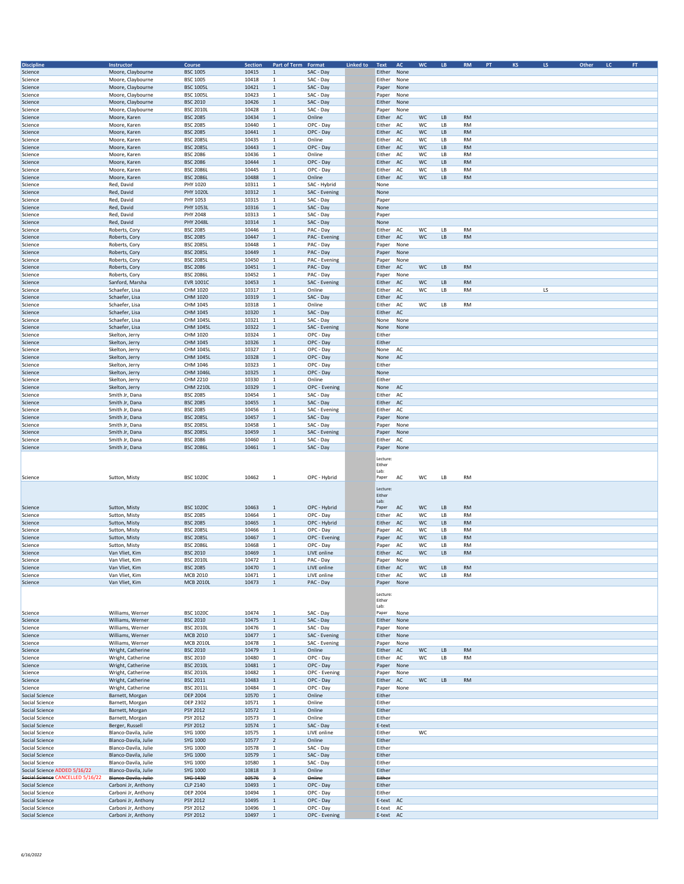| <b>Discipline</b>                | Instructor                                 | Course           | Section | Part of Term Format           |                            | Linked to | Text                   | <b>AC</b>    | <b>WC</b> | LB. | <b>RM</b> | PT | <b>KS</b> | LS. | Other | LC. | <b>FT</b> |
|----------------------------------|--------------------------------------------|------------------|---------|-------------------------------|----------------------------|-----------|------------------------|--------------|-----------|-----|-----------|----|-----------|-----|-------|-----|-----------|
| Science                          | Moore, Claybourne                          | <b>BSC 1005</b>  | 10415   | $\mathbf{1}$                  | SAC - Day                  |           | Either None            |              |           |     |           |    |           |     |       |     |           |
| Science                          | Moore, Claybourne                          | <b>BSC 1005</b>  | 10418   | $\mathbf{1}$                  | SAC - Day                  |           | Either                 | None         |           |     |           |    |           |     |       |     |           |
|                                  |                                            |                  |         |                               |                            |           |                        |              |           |     |           |    |           |     |       |     |           |
| Science                          | Moore, Claybourne                          | <b>BSC 1005L</b> | 10421   | $\mathbf 1$                   | SAC - Day                  |           | Paper                  | None         |           |     |           |    |           |     |       |     |           |
| Science                          | Moore, Claybourne                          | <b>BSC 1005L</b> | 10423   | $\mathbf{1}$                  | SAC - Day                  |           | Paper                  | None         |           |     |           |    |           |     |       |     |           |
| Science                          | Moore, Claybourne                          | <b>BSC 2010</b>  | 10426   | $1\,$                         | SAC - Day                  |           | Either                 | None         |           |     |           |    |           |     |       |     |           |
| Science                          | Moore, Claybourne                          | <b>BSC 2010L</b> | 10428   | $\mathbf{1}$                  | SAC - Day                  |           | Paper                  | None         |           |     |           |    |           |     |       |     |           |
| Science                          | Moore, Karen                               | <b>BSC 2085</b>  | 10434   | $\mathbf 1$                   | Online                     |           | Either                 | AC           | WC        | LB  | <b>RM</b> |    |           |     |       |     |           |
| Science                          | Moore, Karen                               | <b>BSC 2085</b>  | 10440   | $\mathbf 1$                   | OPC - Day                  |           | Either                 | AC           | WC        | LB  | <b>RM</b> |    |           |     |       |     |           |
| Science                          | Moore, Karen                               | <b>BSC 2085</b>  | 10441   | $\mathbf{1}$                  | OPC - Day                  |           | Either AC              |              | WC        | LB  | <b>RM</b> |    |           |     |       |     |           |
| Science                          | Moore, Karen                               | <b>BSC 2085L</b> | 10435   | $\mathbf{1}$                  | Online                     |           | Either                 | AC           | WC        | LB  | <b>RM</b> |    |           |     |       |     |           |
| Science                          | Moore, Karen                               | <b>BSC 2085L</b> | 10443   | $\mathbf 1$                   | OPC - Day                  |           | Either                 | AC           | WC        | LB  | <b>RM</b> |    |           |     |       |     |           |
| Science                          | Moore, Karen                               | <b>BSC 2086</b>  | 10436   | $\mathbf 1$                   | Online                     |           | Either                 | AC           | WC        | LB  | <b>RM</b> |    |           |     |       |     |           |
| Science                          | Moore, Karen                               | <b>BSC 2086</b>  | 10444   | $\mathbf{1}$                  | OPC - Day                  |           | Either                 | AC           | WC        | LB  | <b>RM</b> |    |           |     |       |     |           |
| Science                          | Moore, Karen                               | <b>BSC 2086L</b> | 10445   | $\mathbf{1}$                  | OPC - Day                  |           | Either                 | AC           | WC        | LB  | <b>RM</b> |    |           |     |       |     |           |
|                                  |                                            |                  | 10488   |                               |                            |           |                        |              | WC        |     |           |    |           |     |       |     |           |
| Science                          | Moore, Karen                               | <b>BSC 2086L</b> |         | $\mathbf 1$                   | Online                     |           | Either                 | AC           |           | LB  | <b>RM</b> |    |           |     |       |     |           |
| Science                          | Red, David                                 | PHY 1020         | 10311   | $\mathbf 1$                   | SAC - Hybrid               |           | None                   |              |           |     |           |    |           |     |       |     |           |
| Science                          | Red, David                                 | PHY 1020L        | 10312   | $\mathbf 1$                   | SAC - Evening              |           | None                   |              |           |     |           |    |           |     |       |     |           |
| Science                          | Red, David                                 | PHY 1053         | 10315   | $\mathbf 1$                   | SAC - Day                  |           | Paper                  |              |           |     |           |    |           |     |       |     |           |
| Science                          | Red, David                                 | PHY 1053L        | 10316   | $\mathbf 1$                   | SAC - Day                  |           | None                   |              |           |     |           |    |           |     |       |     |           |
| Science                          | Red, David                                 | PHY 2048         | 10313   | $\mathbf{1}$                  | SAC - Day                  |           | Paper                  |              |           |     |           |    |           |     |       |     |           |
| Science                          | Red, David                                 | <b>PHY 2048L</b> | 10314   | $\mathbf{1}$                  | SAC - Day                  |           | None                   |              |           |     |           |    |           |     |       |     |           |
| Science                          | Roberts, Cory                              | <b>BSC 2085</b>  | 10446   | $\mathbf{1}$                  | PAC - Day                  |           | Either                 | AC           | WC        | LB  | <b>RM</b> |    |           |     |       |     |           |
| Science                          | Roberts, Cory                              | <b>BSC 2085</b>  | 10447   | $\mathbf{1}$                  | PAC - Evening              |           | Either                 | AC           | WC        | LB  | <b>RM</b> |    |           |     |       |     |           |
| Science                          | Roberts, Cory                              | <b>BSC 2085L</b> | 10448   | $\mathbf{1}$                  | PAC - Day                  |           | Paper                  | None         |           |     |           |    |           |     |       |     |           |
| Science                          |                                            | <b>BSC 2085L</b> | 10449   | $\mathbf 1$                   | PAC - Day                  |           |                        |              |           |     |           |    |           |     |       |     |           |
|                                  | Roberts, Cory                              |                  |         |                               |                            |           | Paper                  | None         |           |     |           |    |           |     |       |     |           |
| Science                          | Roberts, Cory                              | <b>BSC 2085L</b> | 10450   | 1                             | PAC - Evening              |           | Paper                  | None         |           |     |           |    |           |     |       |     |           |
| Science                          | Roberts, Cory                              | <b>BSC 2086</b>  | 10451   | $\mathbf 1$                   | PAC - Day                  |           | Either                 | AC           | WC        | LB  | <b>RM</b> |    |           |     |       |     |           |
| Science                          | Roberts, Cory                              | <b>BSC 2086L</b> | 10452   | $\mathbf{1}$                  | PAC - Day                  |           | Paper                  | None         |           |     |           |    |           |     |       |     |           |
| Science                          | Sanford, Marsha                            | <b>EVR 1001C</b> | 10453   | $\mathbf 1$                   | SAC - Evening              |           | Either                 | AC           | WC        | LB  | <b>RM</b> |    |           |     |       |     |           |
| Science                          | Schaefer, Lisa                             | CHM 1020         | 10317   | $\mathbf{1}$                  | Online                     |           | Either                 | AC           | WC        | LB  | <b>RM</b> |    |           | LS  |       |     |           |
| Science                          | Schaefer, Lisa                             | CHM 1020         | 10319   | $\mathbf 1$                   | SAC - Day                  |           | Either                 | AC           |           |     |           |    |           |     |       |     |           |
| Science                          | Schaefer, Lisa                             | CHM 1045         | 10318   | $\mathbf{1}$                  | Online                     |           | Either                 | AC           | WC        | LB  | <b>RM</b> |    |           |     |       |     |           |
| Science                          | Schaefer, Lisa                             | CHM 1045         | 10320   | $\mathbf 1$                   | SAC - Day                  |           | Either                 | AC           |           |     |           |    |           |     |       |     |           |
| Science                          | Schaefer, Lisa                             | CHM 1045L        | 10321   | $\overline{1}$                | SAC - Day                  |           | None                   | None         |           |     |           |    |           |     |       |     |           |
|                                  |                                            |                  | 10322   |                               |                            |           |                        |              |           |     |           |    |           |     |       |     |           |
| Science                          | Schaefer, Lisa                             | CHM 1045L        |         | $\mathbf 1$                   | SAC - Evening              |           | None                   | None         |           |     |           |    |           |     |       |     |           |
| Science                          | Skelton, Jerry                             | CHM 1020         | 10324   | $\mathbf 1$                   | OPC - Day                  |           | Either                 |              |           |     |           |    |           |     |       |     |           |
| Science                          | Skelton, Jerry                             | CHM 1045         | 10326   | $\mathbf{1}$                  | OPC - Day                  |           | Either                 |              |           |     |           |    |           |     |       |     |           |
| Science                          | Skelton, Jerry                             | CHM 1045L        | 10327   | $\mathbf{1}$                  | OPC - Day                  |           | None                   | AC           |           |     |           |    |           |     |       |     |           |
| Science                          | Skelton, Jerry                             | CHM 1045L        | 10328   | $\mathbf{1}$                  | OPC - Day                  |           | None                   | AC           |           |     |           |    |           |     |       |     |           |
| Science                          | Skelton, Jerry                             | CHM 1046         | 10323   | 1                             | OPC - Day                  |           | Either                 |              |           |     |           |    |           |     |       |     |           |
| Science                          | Skelton, Jerry                             | CHM 1046L        | 10325   | $\mathbf 1$                   | OPC - Day                  |           | None                   |              |           |     |           |    |           |     |       |     |           |
| Science                          | Skelton, Jerry                             | CHM 2210         | 10330   | $\mathbf 1$                   | Online                     |           | Either                 |              |           |     |           |    |           |     |       |     |           |
| Science                          | Skelton, Jerry                             | <b>CHM 2210L</b> | 10329   | $\mathbf 1$                   | OPC - Evening              |           | None                   | AC           |           |     |           |    |           |     |       |     |           |
|                                  |                                            |                  |         |                               |                            |           |                        |              |           |     |           |    |           |     |       |     |           |
| Science                          | Smith Jr, Dana                             | <b>BSC 2085</b>  | 10454   | $\mathbf 1$                   | SAC - Day                  |           | Either                 | AC           |           |     |           |    |           |     |       |     |           |
| Science                          | Smith Jr, Dana                             | <b>BSC 2085</b>  | 10455   | $\mathbf{1}$                  | SAC - Day                  |           | Either                 | AC           |           |     |           |    |           |     |       |     |           |
| Science                          | Smith Jr, Dana                             | <b>BSC 2085</b>  | 10456   | 1                             | SAC - Evening              |           | Either                 | AC           |           |     |           |    |           |     |       |     |           |
| Science                          | Smith Jr, Dana                             | <b>BSC 2085L</b> | 10457   | $\mathbf{1}$                  | SAC - Day                  |           | Paper                  | None         |           |     |           |    |           |     |       |     |           |
| Science                          | Smith Jr, Dana                             | <b>BSC 2085L</b> | 10458   | 1                             | SAC - Day                  |           | Paper                  | None         |           |     |           |    |           |     |       |     |           |
| Science                          | Smith Jr, Dana                             | <b>BSC 2085L</b> | 10459   | $\mathbf{1}$                  | SAC - Evening              |           | Paper                  | None         |           |     |           |    |           |     |       |     |           |
| Science                          | Smith Jr, Dana                             | <b>BSC 2086</b>  | 10460   | $\mathbf{1}$                  | SAC - Day                  |           | Either                 | AC           |           |     |           |    |           |     |       |     |           |
| Science                          | Smith Jr, Dana                             | <b>BSC 2086L</b> | 10461   | $\mathbf{1}$                  | SAC - Day                  |           | Paper                  | None         |           |     |           |    |           |     |       |     |           |
|                                  |                                            |                  |         |                               |                            |           |                        |              |           |     |           |    |           |     |       |     |           |
|                                  |                                            |                  |         |                               |                            |           | Lecture                |              |           |     |           |    |           |     |       |     |           |
|                                  |                                            |                  |         |                               |                            |           | Either                 |              |           |     |           |    |           |     |       |     |           |
|                                  |                                            |                  |         |                               |                            |           | Lab:                   |              |           |     |           |    |           |     |       |     |           |
| Science                          | Sutton, Misty                              | <b>BSC 1020C</b> | 10462   | 1                             | OPC - Hybrid               |           | Paper                  | AC           | wc        | LB  | RM        |    |           |     |       |     |           |
|                                  |                                            |                  |         |                               |                            |           | Lecture                |              |           |     |           |    |           |     |       |     |           |
|                                  |                                            |                  |         |                               |                            |           | Either                 |              |           |     |           |    |           |     |       |     |           |
|                                  |                                            |                  |         |                               |                            |           | Lab:                   |              |           |     |           |    |           |     |       |     |           |
| Science                          | Sutton, Misty                              | <b>BSC 1020C</b> | 10463   | $\mathbf{1}$                  | OPC - Hybrid               |           | Paper                  | AC           | WC        | LB  | <b>RM</b> |    |           |     |       |     |           |
| Science                          | Sutton, Misty                              | <b>BSC 2085</b>  | 10464   | $\mathbf{1}$                  | OPC - Day                  |           | Either                 | AC           | WC        | LB  | <b>RM</b> |    |           |     |       |     |           |
| Science                          | Sutton, Misty                              | <b>BSC 2085</b>  | 10465   | $\mathbf 1$                   | OPC - Hybrid               |           | Either                 | AC           | WC        | LВ  | <b>RM</b> |    |           |     |       |     |           |
|                                  |                                            |                  |         | $\mathbf{1}$                  |                            |           |                        | AC           | WC        | LB  | <b>RM</b> |    |           |     |       |     |           |
| Science                          | Sutton, Misty                              | <b>BSC 2085L</b> | 10466   |                               | OPC - Day                  |           | Paper                  |              |           |     |           |    |           |     |       |     |           |
| Science                          | Sutton, Misty                              | <b>BSC 2085L</b> | 10467   | $1\,$                         | OPC - Evening              |           | Paper                  | AC           | WC        | LB  | <b>RM</b> |    |           |     |       |     |           |
| Science                          | Sutton, Misty                              | <b>BSC 2086L</b> | 10468   | $\mathbf{1}$                  | OPC - Day                  |           | Paper                  | AC           | WC        | LB  | <b>RM</b> |    |           |     |       |     |           |
| Science                          | Van Vliet, Kim                             | <b>BSC 2010</b>  | 10469   | $\mathbf{1}$                  | LIVE online                |           | Either                 | AC           | WC        | LB  | <b>RM</b> |    |           |     |       |     |           |
| Science                          | Van Vliet, Kim                             | <b>BSC 2010L</b> | 10472   |                               | PAC - Day                  |           | Paper                  | None         |           |     |           |    |           |     |       |     |           |
| Science                          | Van Vliet, Kim                             | <b>BSC 2085</b>  | 10470   | $\mathbf 1$                   | LIVE online                |           | Either AC              |              | WC        | LB  | <b>RM</b> |    |           |     |       |     |           |
| Science                          | Van Vliet, Kim                             | <b>MCB 2010</b>  | 10471   | $\mathbf 1$                   | LIVE online                |           | Either                 | AC           | WC        | LB  | <b>RM</b> |    |           |     |       |     |           |
| Science                          | Van Vliet, Kim                             | <b>MCB 2010L</b> | 10473   | $\mathbf 1$                   | PAC - Day                  |           | Paper None             |              |           |     |           |    |           |     |       |     |           |
|                                  |                                            |                  |         |                               |                            |           |                        |              |           |     |           |    |           |     |       |     |           |
|                                  |                                            |                  |         |                               |                            |           | Lecture                |              |           |     |           |    |           |     |       |     |           |
|                                  |                                            |                  |         |                               |                            |           | Either                 |              |           |     |           |    |           |     |       |     |           |
|                                  |                                            |                  |         |                               |                            |           | Lab:                   |              |           |     |           |    |           |     |       |     |           |
| Science                          | Williams, Werner                           | <b>BSC 1020C</b> | 10474   | 1                             | SAC - Day                  |           | Paper                  | None         |           |     |           |    |           |     |       |     |           |
| Science                          | Williams, Werner                           | <b>BSC 2010</b>  | 10475   | $\mathbf 1$                   | SAC - Day                  |           | Either                 | None         |           |     |           |    |           |     |       |     |           |
| Science                          | Williams, Werner                           | <b>BSC 2010L</b> | 10476   | $\mathbf{1}$                  | SAC - Day                  |           | Paper                  | None         |           |     |           |    |           |     |       |     |           |
| Science                          | Williams, Werner                           | <b>MCB 2010</b>  | 10477   | $\mathbf{1}$                  | SAC - Evening              |           | Either                 | None         |           |     |           |    |           |     |       |     |           |
| Science                          | Williams, Werner                           | <b>MCB 2010L</b> | 10478   | $\mathbf{1}$                  | SAC - Evening              |           | Paper                  | None         |           |     |           |    |           |     |       |     |           |
| Science                          | Wright, Catherine                          | <b>BSC 2010</b>  | 10479   | $\mathbf{1}$                  | Online                     |           | Either                 | AC           | WC        | LB  | <b>RM</b> |    |           |     |       |     |           |
| Science                          | Wright, Catherine                          | <b>BSC 2010</b>  | 10480   | 1                             | OPC - Day                  |           | Either                 | AC           | WC        | LB  | <b>RM</b> |    |           |     |       |     |           |
| Science                          |                                            | <b>BSC 2010L</b> | 10481   | $\mathbf{1}$                  |                            |           |                        |              |           |     |           |    |           |     |       |     |           |
| Science                          | Wright, Catherine<br>Wright, Catherine     | <b>BSC 2010L</b> | 10482   | 1                             | OPC - Day<br>OPC - Evening |           | Paper                  | None<br>None |           |     |           |    |           |     |       |     |           |
|                                  |                                            |                  |         |                               |                            |           | Paper                  |              |           |     |           |    |           |     |       |     |           |
| Science                          | Wright, Catherine                          | <b>BSC 2011</b>  | 10483   | $\mathbf{1}$                  | OPC - Day                  |           | Either                 | AC           | WC        | LB  | <b>RM</b> |    |           |     |       |     |           |
| Science                          | Wright, Catherine                          | <b>BSC 2011L</b> | 10484   | $\mathbf{1}$                  | OPC - Day                  |           | Paper                  | None         |           |     |           |    |           |     |       |     |           |
| Social Science                   | Barnett, Morgan                            | <b>DEP 2004</b>  | 10570   | $\mathbf 1$                   | Online                     |           | Either                 |              |           |     |           |    |           |     |       |     |           |
| Social Science                   | Barnett, Morgan                            | <b>DEP 2302</b>  | 10571   | $\mathbf{1}$                  | Online                     |           | Either                 |              |           |     |           |    |           |     |       |     |           |
| Social Science                   | Barnett, Morgan                            | PSY 2012         | 10572   | $\mathbf{1}$                  | Online                     |           | Either                 |              |           |     |           |    |           |     |       |     |           |
| Social Science                   | Barnett, Morgan                            | PSY 2012         | 10573   | 1                             | Online                     |           | Either                 |              |           |     |           |    |           |     |       |     |           |
| Social Science                   | Berger, Russell                            | PSY 2012         | 10574   | $1\,$                         | SAC - Day                  |           | E-text                 |              |           |     |           |    |           |     |       |     |           |
| Social Science                   | Blanco-Davila, Julie                       | SYG 1000         | 10575   | $\mathbf{1}$                  | LIVE online                |           | Either                 |              | WC        |     |           |    |           |     |       |     |           |
| Social Science                   | Blanco-Davila, Julie                       | SYG 1000         | 10577   |                               | Online                     |           | Either                 |              |           |     |           |    |           |     |       |     |           |
|                                  |                                            |                  |         | $\overline{2}$                |                            |           |                        |              |           |     |           |    |           |     |       |     |           |
| Social Science                   | Blanco-Davila, Julie                       | SYG 1000         | 10578   | $\overline{1}$                | SAC - Day                  |           | Either                 |              |           |     |           |    |           |     |       |     |           |
| Social Science                   | Blanco-Davila, Julie                       | SYG 1000         | 10579   | $\mathbf{1}$                  | SAC - Day                  |           | Either                 |              |           |     |           |    |           |     |       |     |           |
| Social Science                   | Blanco-Davila, Julie                       | SYG 1000         | 10580   | $\mathbf 1$                   | SAC - Day                  |           | Either                 |              |           |     |           |    |           |     |       |     |           |
| Social Science ADDED 5/16/22     | Blanco-Davila, Julie                       | SYG 1000         | 10818   | $\mathsf 3$                   | Online                     |           | Either                 |              |           |     |           |    |           |     |       |     |           |
| Social Science CANCELLED 5/16/22 | Blanco Davila, Julie                       | SYG 1430         | 10576   | $\textcolor{red}{\textbf{1}}$ | Online                     |           | Either                 |              |           |     |           |    |           |     |       |     |           |
| Social Science                   | Carboni Jr, Anthony                        | CLP 2140         | 10493   | $\mathbf{1}$                  | OPC - Day                  |           | Either                 |              |           |     |           |    |           |     |       |     |           |
| Social Science                   | Carboni Jr, Anthony                        | <b>DEP 2004</b>  | 10494   | $\mathbf 1$                   | OPC - Day                  |           | Either                 |              |           |     |           |    |           |     |       |     |           |
| Social Science                   | Carboni Jr, Anthony                        | PSY 2012         | 10495   | $\mathbf{1}$                  | OPC - Day                  |           | E-text AC              |              |           |     |           |    |           |     |       |     |           |
|                                  |                                            |                  |         |                               | OPC - Day                  |           |                        |              |           |     |           |    |           |     |       |     |           |
| Social Science                   | Carboni Jr, Anthony<br>Carboni Jr, Anthony | PSY 2012         | 10496   | $\overline{1}$                |                            |           | E-text AC<br>E-text AC |              |           |     |           |    |           |     |       |     |           |
| Social Science                   |                                            | <b>PSY 2012</b>  | 10497   | $\mathbf 1$                   | OPC - Evening              |           |                        |              |           |     |           |    |           |     |       |     |           |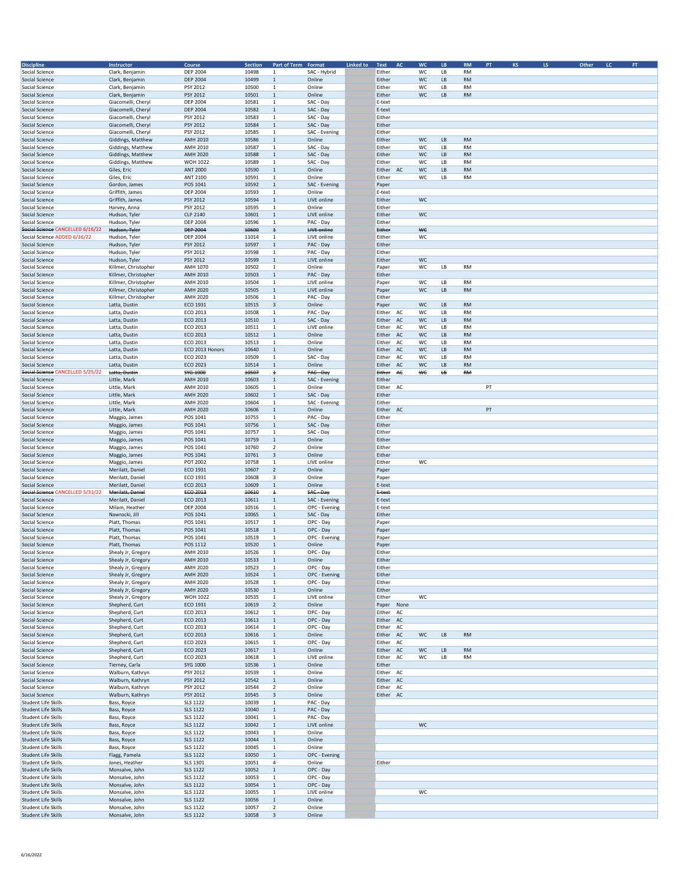| <b>Discipline</b>                              | Instructor                               | Course                             | <b>Section</b> | Part of Term Format                     |                            | Linked to | Text                   | AC       | <b>WC</b> | LB       | <b>RM</b>              | PT | <b>KS</b> | LS. | Other<br>$\mathsf{LC}$ | $\mathsf{FT}$ |
|------------------------------------------------|------------------------------------------|------------------------------------|----------------|-----------------------------------------|----------------------------|-----------|------------------------|----------|-----------|----------|------------------------|----|-----------|-----|------------------------|---------------|
| Social Science                                 | Clark, Benjamin                          | <b>DEP 2004</b>                    | 10498          | 1                                       | SAC - Hybrid               |           | Either                 |          | WC        | LB       | <b>RM</b>              |    |           |     |                        |               |
| <b>Social Science</b>                          | Clark, Benjamin                          | <b>DEP 2004</b>                    | 10499          | $\,$ 1                                  | Online                     |           | Either                 |          | WC        | LВ       | <b>RM</b>              |    |           |     |                        |               |
| Social Science                                 | Clark, Benjamin                          | PSY 2012                           | 10500          | 1                                       | Online                     |           | Either                 |          | WC        | LB       | <b>RM</b>              |    |           |     |                        |               |
| Social Science                                 | Clark, Benjamin                          | PSY 2012                           | 10501          | $\mathbf 1$                             | Online                     |           | Either                 |          | WC        | LB       | <b>RM</b>              |    |           |     |                        |               |
| Social Science                                 | Giacomelli, Cheryl                       | <b>DEP 2004</b>                    | 10581          | 1                                       | SAC - Day                  |           | E-text                 |          |           |          |                        |    |           |     |                        |               |
| <b>Social Science</b>                          | Giacomelli, Cheryl                       | <b>DEP 2004</b>                    | 10582          | $\mathbf{1}$                            | SAC - Day                  |           | E-text                 |          |           |          |                        |    |           |     |                        |               |
| Social Science                                 | Giacomelli, Cheryl                       | PSY 2012                           | 10583          | $\mathbf{1}$                            | SAC - Day                  |           | Either                 |          |           |          |                        |    |           |     |                        |               |
| Social Science                                 | Giacomelli, Cheryl                       | PSY 2012                           | 10584          | $\mathbf{1}$                            | SAC - Day                  |           | Either                 |          |           |          |                        |    |           |     |                        |               |
| Social Science<br><b>Social Science</b>        | Giacomelli, Cheryl<br>Giddings, Matthew  | PSY 2012<br><b>AMH 2010</b>        | 10585<br>10586 | 1<br>$\,$ 1                             | SAC - Evening<br>Online    |           | Either<br>Either       |          | WC        | LB       | <b>RM</b>              |    |           |     |                        |               |
| Social Science                                 | Giddings, Matthew                        | AMH 2010                           | 10587          | 1                                       | SAC - Day                  |           | Either                 |          | WC        | LB       | <b>RM</b>              |    |           |     |                        |               |
| Social Science                                 | Giddings, Matthew                        | <b>AMH 2020</b>                    | 10588          | $\mathbf 1$                             | SAC - Day                  |           | Either                 |          | WC        | LВ       | <b>RM</b>              |    |           |     |                        |               |
| Social Science                                 | Giddings, Matthew                        | <b>WOH 1022</b>                    | 10589          | $\mathbf 1$                             | SAC - Day                  |           | Either                 |          | WC        | LB       | <b>RM</b>              |    |           |     |                        |               |
| <b>Social Science</b>                          | Giles, Eric                              | <b>ANT 2000</b>                    | 10590          | $\mathbf{1}$                            | Online                     |           | Either                 | AC       | WC        | LB       | <b>RM</b>              |    |           |     |                        |               |
| Social Science                                 | Giles, Eric                              | ANT 2100                           | 10591          | $\mathbf{1}$                            | Online                     |           | Either                 |          | WC        | LB       | <b>RM</b>              |    |           |     |                        |               |
| Social Science                                 | Gordon, James                            | POS 1041                           | 10592          | $\mathbf 1$                             | SAC - Evening              |           | Paper                  |          |           |          |                        |    |           |     |                        |               |
| Social Science                                 | Griffith, James                          | <b>DEP 2004</b>                    | 10593          | $\mathbf{1}$                            | Online                     |           | E-text                 |          |           |          |                        |    |           |     |                        |               |
| <b>Social Science</b>                          | Griffith, James                          | PSY 2012                           | 10594          | $\mathbf 1$                             | LIVE online                |           | Either                 |          | <b>WC</b> |          |                        |    |           |     |                        |               |
| Social Science<br><b>Social Science</b>        | Harvey, Anna                             | PSY 2012                           | 10595<br>10601 | $\mathbf{1}$<br>$\mathbf 1$             | Online<br>LIVE online      |           | Either<br>Either       |          | WC        |          |                        |    |           |     |                        |               |
| Social Science                                 | Hudson, Tyler<br>Hudson, Tyler           | CLP 2140<br><b>DEP 2004</b>        | 10596          | $\mathbf 1$                             | PAC - Day                  |           | Either                 |          |           |          |                        |    |           |     |                        |               |
| Social Science CANCELLED 6/16/22               | Hudson, Tyler                            | <b>DEP 2004</b>                    | 10600          | $\ddagger$                              | <b>LIVE online</b>         |           | Either                 |          | ₩€        |          |                        |    |           |     |                        |               |
| Social Science ADDED 6/16/22                   | Hudson, Tyler                            | <b>DEP 2004</b>                    | 11014          | $\mathbf{1}$                            | LIVE online                |           | Either                 |          | WC        |          |                        |    |           |     |                        |               |
| Social Science                                 | Hudson, Tyler                            | PSY 2012                           | 10597          | $\mathbf{1}$                            | PAC - Day                  |           | Either                 |          |           |          |                        |    |           |     |                        |               |
| Social Science                                 | Hudson, Tyler                            | PSY 2012                           | 10598          | $\mathbf{1}$                            | PAC - Day                  |           | Either                 |          |           |          |                        |    |           |     |                        |               |
| Social Science                                 | Hudson, Tyler                            | PSY 2012                           | 10599          | $\mathbf{1}$                            | LIVE online                |           | Either                 |          | WC        |          |                        |    |           |     |                        |               |
| Social Science                                 | Killmer, Christopher                     | AMH 1070                           | 10502          | $\mathbf{1}$                            | Online                     |           | Paper                  |          | WC        | LВ       | RM                     |    |           |     |                        |               |
| Social Science                                 | Killmer, Christopher                     | <b>AMH 2010</b>                    | 10503          | $\mathbf 1$                             | PAC - Day                  |           | Either                 |          |           |          |                        |    |           |     |                        |               |
| Social Science                                 | Killmer, Christopher                     | <b>AMH 2010</b>                    | 10504          | $\mathbf 1$                             | LIVE online                |           | Paper                  |          | WC        | LВ       | <b>RM</b>              |    |           |     |                        |               |
| Social Science                                 | Killmer, Christopher                     | <b>AMH 2020</b>                    | 10505          | $\mathbf{1}$                            | LIVE online                |           | Paper                  |          | WC        | LB       | <b>RM</b>              |    |           |     |                        |               |
| Social Science                                 | Killmer, Christopher                     | <b>AMH 2020</b>                    | 10506          | $\mathbf{1}$                            | PAC - Day                  |           | Either                 |          |           |          |                        |    |           |     |                        |               |
| Social Science                                 | Latta, Dustin                            | ECO 1931<br>ECO 2013               | 10515<br>10508 | 3<br>$\mathbf{1}$                       | Online<br>PAC - Day        |           | Paper<br>Either        |          | WC<br>WC  | LB<br>LВ | <b>RM</b><br><b>RM</b> |    |           |     |                        |               |
| Social Science<br>Social Science               | Latta, Dustin<br>Latta, Dustin           | ECO 2013                           | 10510          | $\mathbf{1}$                            | SAC - Day                  |           | Either                 | AC<br>AC | WC        | LB       | <b>RM</b>              |    |           |     |                        |               |
| Social Science                                 | Latta, Dustin                            | ECO 2013                           | 10511          | $\mathbf{1}$                            | LIVE online                |           | Either                 | AC       | WC        | LВ       | <b>RM</b>              |    |           |     |                        |               |
| Social Science                                 | Latta, Dustin                            | ECO 2013                           | 10512          | $\mathbf{1}$                            | Online                     |           | Either AC              |          | WC        | LB       | <b>RM</b>              |    |           |     |                        |               |
| <b>Social Science</b>                          | Latta, Dustin                            | ECO 2013                           | 10513          | $\mathbf 1$                             | Online                     |           | Either AC              |          | WC        | LB       | <b>RM</b>              |    |           |     |                        |               |
| Social Science                                 | Latta, Dustin                            | ECO 2013 Honors                    | 10640          | $\mathbf 1$                             | Online                     |           | Either                 | AC       | WC        | LB       | <b>RM</b>              |    |           |     |                        |               |
| Social Science                                 | Latta, Dustin                            | ECO 2023                           | 10509          | $\mathbf{1}$                            | SAC - Day                  |           | Either                 | AC       | WC        | LB       | <b>RM</b>              |    |           |     |                        |               |
| Social Science                                 | Latta, Dustin                            | ECO 2023                           | 10514          | $\mathbf{1}$                            | Online                     |           | Either AC              |          | WC        | LB       | <b>RM</b>              |    |           |     |                        |               |
| Social Science CANCELLED 5/25/22               | Latta, Dustin                            | SYG 1000                           | 10507          | $\overline{1}$                          | PAC-Day                    |           | Either                 | AC       | ₩€        | ₩        | <b>RM</b>              |    |           |     |                        |               |
| Social Science                                 | Little, Mark                             | <b>AMH 2010</b>                    | 10603          | $\mathbf{1}$                            | SAC - Evening              |           | Either                 |          |           |          |                        |    |           |     |                        |               |
| Social Science                                 | Little, Mark                             | AMH 2010                           | 10605          | $\mathbf{1}$                            | Online                     |           | Either                 | AC       |           |          |                        | PT |           |     |                        |               |
| Social Science                                 | Little, Mark                             | <b>AMH 2020</b><br><b>AMH 2020</b> | 10602<br>10604 | $\mathbf 1$<br>$\mathbf{1}$             | SAC - Day                  |           | Either<br>Either       |          |           |          |                        |    |           |     |                        |               |
| Social Science<br>Social Science               | Little, Mark<br>Little, Mark             | <b>AMH 2020</b>                    | 10606          | $\mathbf 1$                             | SAC - Evening<br>Online    |           | Either                 | AC       |           |          |                        | PT |           |     |                        |               |
| Social Science                                 | Maggio, James                            | POS 1041                           | 10755          | $\mathbf{1}$                            | PAC - Day                  |           | Either                 |          |           |          |                        |    |           |     |                        |               |
| Social Science                                 | Maggio, James                            | POS 1041                           | 10756          | $\mathbf{1}$                            | SAC - Day                  |           | Either                 |          |           |          |                        |    |           |     |                        |               |
| Social Science                                 | Maggio, James                            | POS 1041                           | 10757          | $\mathbf{1}$                            | SAC - Day                  |           | Either                 |          |           |          |                        |    |           |     |                        |               |
| Social Science                                 | Maggio, James                            | POS 1041                           | 10759          | $\mathbf{1}$                            | Online                     |           | Either                 |          |           |          |                        |    |           |     |                        |               |
| Social Science                                 | Maggio, James                            | POS 1041                           | 10760          | $\overline{2}$                          | Online                     |           | Either                 |          |           |          |                        |    |           |     |                        |               |
| Social Science<br>Social Science               | Maggio, James                            | POS 1041<br>POT 2002               | 10761<br>10758 | $\overline{\mathbf{3}}$<br>1            | Online<br>LIVE online      |           | Either<br>Either       |          | WC        |          |                        |    |           |     |                        |               |
| Social Science                                 | Maggio, James<br>Merilatt, Daniel        | ECO 1931                           | 10607          | $\overline{2}$                          | Online                     |           | Paper                  |          |           |          |                        |    |           |     |                        |               |
| Social Science                                 | Merilatt, Daniel                         | ECO 1931                           | 10608          | 3                                       | Online                     |           | Paper                  |          |           |          |                        |    |           |     |                        |               |
| Social Science                                 | Merilatt, Daniel                         | ECO 2013                           | 10609          | $\mathbf 1$                             | Online                     |           | E-text                 |          |           |          |                        |    |           |     |                        |               |
| Social Science CANCELLED 5/31/22               | Merilatt, Daniel                         | ECO 2013                           | 10610          | $\overline{\mathbf{f}}$                 | SAC Day                    |           | E <sub>text</sub>      |          |           |          |                        |    |           |     |                        |               |
| Social Science                                 | Merilatt, Daniel                         | ECO 2013                           | 10611          | $\mathbf{1}$                            | SAC - Evening              |           | E-text                 |          |           |          |                        |    |           |     |                        |               |
| Social Science                                 | Milam, Heather                           | <b>DEP 2004</b>                    | 10516          | $\mathbf{1}$                            | OPC - Evening              |           | E-text                 |          |           |          |                        |    |           |     |                        |               |
| Social Science<br>Social Science               | Nawrocki, Jill<br>Platt, Thomas          | POS 1041<br>POS 1041               | 10065<br>10517 | $\,$ 1<br>1                             | SAC - Day<br>OPC - Day     |           | Either<br>Paper        |          |           |          |                        |    |           |     |                        |               |
| <b>Social Science</b>                          | Platt, Thomas                            | POS 1041                           | 10518          | $\mathbf 1$                             | OPC - Day                  |           | Paper                  |          |           |          |                        |    |           |     |                        |               |
| Social Science                                 | Platt, Thomas                            | POS 1041                           | 10519          | $\mathbf{1}$                            | OPC - Evening              |           | Paper                  |          |           |          |                        |    |           |     |                        |               |
| <b>Social Science</b>                          | Platt, Thomas                            | POS 1112                           | 10520          | $\mathbf{1}$                            | Online                     |           | Paper                  |          |           |          |                        |    |           |     |                        |               |
| Social Science                                 | Shealy Jr, Gregory                       | AMH 2010                           | 10526          | $\mathbf{1}$                            | OPC - Day                  |           | Either                 |          |           |          |                        |    |           |     |                        |               |
| Social Science                                 | Shealy Jr, Gregory                       | AMH 2010                           | 10533          |                                         | Online                     |           | Fither                 |          |           |          |                        |    |           |     |                        |               |
| Social Science<br>Social Science               | Shealy Jr, Gregory                       | <b>AMH 2020</b><br><b>AMH 2020</b> | 10523<br>10524 | $\mathbf{1}$                            | OPC - Day<br>OPC - Evening |           | Either<br>Either       |          |           |          |                        |    |           |     |                        |               |
| Social Science                                 | Shealy Jr, Gregory<br>Shealy Jr, Gregory | <b>AMH 2020</b>                    | 10528          | $\,$ 1<br>1                             | OPC - Day                  |           | Either                 |          |           |          |                        |    |           |     |                        |               |
| Social Science                                 | Shealy Jr, Gregory                       | <b>AMH 2020</b>                    | 10530          | $\mathbf 1$                             | Online                     |           | Either                 |          |           |          |                        |    |           |     |                        |               |
| Social Science                                 | Shealy Jr, Gregory                       | <b>WOH 1022</b>                    | 10535          | 1                                       | LIVE online                |           | Either                 |          | WC        |          |                        |    |           |     |                        |               |
| Social Science                                 | Shepherd, Curt                           | ECO 1931                           | 10619          | $\overline{2}$                          | Online                     |           | Paper None             |          |           |          |                        |    |           |     |                        |               |
| Social Science                                 | Shepherd, Curt                           | ECO 2013                           | 10612          | 1                                       | OPC - Day                  |           | Either                 | AC       |           |          |                        |    |           |     |                        |               |
| Social Science                                 | Shepherd, Curt                           | ECO 2013                           | 10613          | $\mathbf 1$                             | OPC - Day                  |           | Either AC              |          |           |          |                        |    |           |     |                        |               |
| <b>Social Science</b><br><b>Social Science</b> | Shepherd, Curt<br>Shepherd, Curt         | ECO 2013<br>ECO 2013               | 10614<br>10616 | $\mathbf{1}$<br>$\mathbf{1}$            | OPC - Day<br>Online        |           | Elther<br>AC<br>Either | AC       | WC        | LB       | <b>RM</b>              |    |           |     |                        |               |
| Social Science                                 | Shepherd, Curt                           | ECO 2023                           | 10615          | $\mathbf{1}$                            | OPC - Day                  |           | Either AC              |          |           |          |                        |    |           |     |                        |               |
| Social Science                                 |                                          |                                    |                | $\mathbf{1}$                            | Online                     |           |                        |          | WC        | LB       |                        |    |           |     |                        |               |
|                                                | Shepherd, Curt                           | ECO 2023                           | 10617          |                                         |                            |           | Either AC              |          |           |          | <b>RM</b>              |    |           |     |                        |               |
| Social Science                                 | Shepherd, Curt                           | ECO 2023                           | 10618          | $\mathbf 1$                             | LIVE online                |           | Either                 | AC       | WC        | LВ       | <b>RM</b>              |    |           |     |                        |               |
| Social Science                                 | Tierney, Carla                           | SYG 1000                           | 10536          | $\mathbf{1}$                            | Online                     |           | Either                 |          |           |          |                        |    |           |     |                        |               |
| Social Science                                 | Walburn, Kathryn                         | PSY 2012                           | 10539          | 1                                       | Online                     |           | Either AC              |          |           |          |                        |    |           |     |                        |               |
| Social Science                                 | Walburn, Kathryn                         | PSY 2012                           | 10542          | $\mathbf{1}$                            | Online                     |           | Either AC              |          |           |          |                        |    |           |     |                        |               |
| Social Science                                 | Walburn, Kathryn                         | PSY 2012                           | 10544          | $\overline{2}$                          | Online                     |           | Either AC              |          |           |          |                        |    |           |     |                        |               |
| Social Science<br>Student Life Skills          | Walburn, Kathryn<br>Bass, Royce          | PSY 2012<br><b>SLS 1122</b>        | 10545<br>10039 | $\overline{\mathbf{3}}$<br>$\mathbf{1}$ | Online<br>PAC - Day        |           | Either AC              |          |           |          |                        |    |           |     |                        |               |
| Student Life Skills                            | Bass, Royce                              | <b>SLS 1122</b>                    | 10040          | $\mathbf{1}$                            | PAC - Day                  |           |                        |          |           |          |                        |    |           |     |                        |               |
| Student Life Skills                            | Bass, Royce                              | <b>SLS 1122</b>                    | 10041          | 1                                       | PAC - Day                  |           |                        |          |           |          |                        |    |           |     |                        |               |
| Student Life Skills                            | Bass, Royce                              | <b>SLS 1122</b>                    | 10042          | $\mathbf{1}$                            | LIVE online                |           |                        |          | WC        |          |                        |    |           |     |                        |               |
| Student Life Skills                            | Bass, Royce                              | <b>SLS 1122</b>                    | 10043          | 1                                       | Online                     |           |                        |          |           |          |                        |    |           |     |                        |               |
| Student Life Skills                            | Bass, Royce                              | <b>SLS 1122</b>                    | 10044          | $\mathbf{1}$                            | Online                     |           |                        |          |           |          |                        |    |           |     |                        |               |
| Student Life Skills<br>Student Life Skills     | Bass, Royce                              | <b>SLS 1122</b><br><b>SLS 1122</b> | 10045<br>10050 | 1<br>$\mathbf{1}$                       | Online                     |           |                        |          |           |          |                        |    |           |     |                        |               |
| Student Life Skills                            | Flagg, Pamela<br>Jones, Heather          | SLS 1301                           | 10051          | 4                                       | OPC - Evening<br>Online    |           | Either                 |          |           |          |                        |    |           |     |                        |               |
| Student Life Skills                            | Monsalve, John                           | <b>SLS 1122</b>                    | 10052          | $\mathbf 1$                             | OPC - Day                  |           |                        |          |           |          |                        |    |           |     |                        |               |
| Student Life Skills                            | Monsalve, John                           | <b>SLS 1122</b>                    | 10053          | $\mathbf 1$                             | OPC - Day                  |           |                        |          |           |          |                        |    |           |     |                        |               |
| Student Life Skills                            | Monsalve, John                           | <b>SLS 1122</b>                    | 10054          | $\mathbf 1$                             | OPC - Day                  |           |                        |          |           |          |                        |    |           |     |                        |               |
| Student Life Skills                            | Monsalve, John                           | <b>SLS 1122</b>                    | 10055          | $\mathbf 1$                             | LIVE online                |           |                        |          | WC        |          |                        |    |           |     |                        |               |
| Student Life Skills<br>Student Life Skills     | Monsalve, John<br>Monsalve, John         | <b>SLS 1122</b><br><b>SLS 1122</b> | 10056<br>10057 | $\mathbf{1}$<br>$\overline{2}$          | Online<br>Online           |           |                        |          |           |          |                        |    |           |     |                        |               |